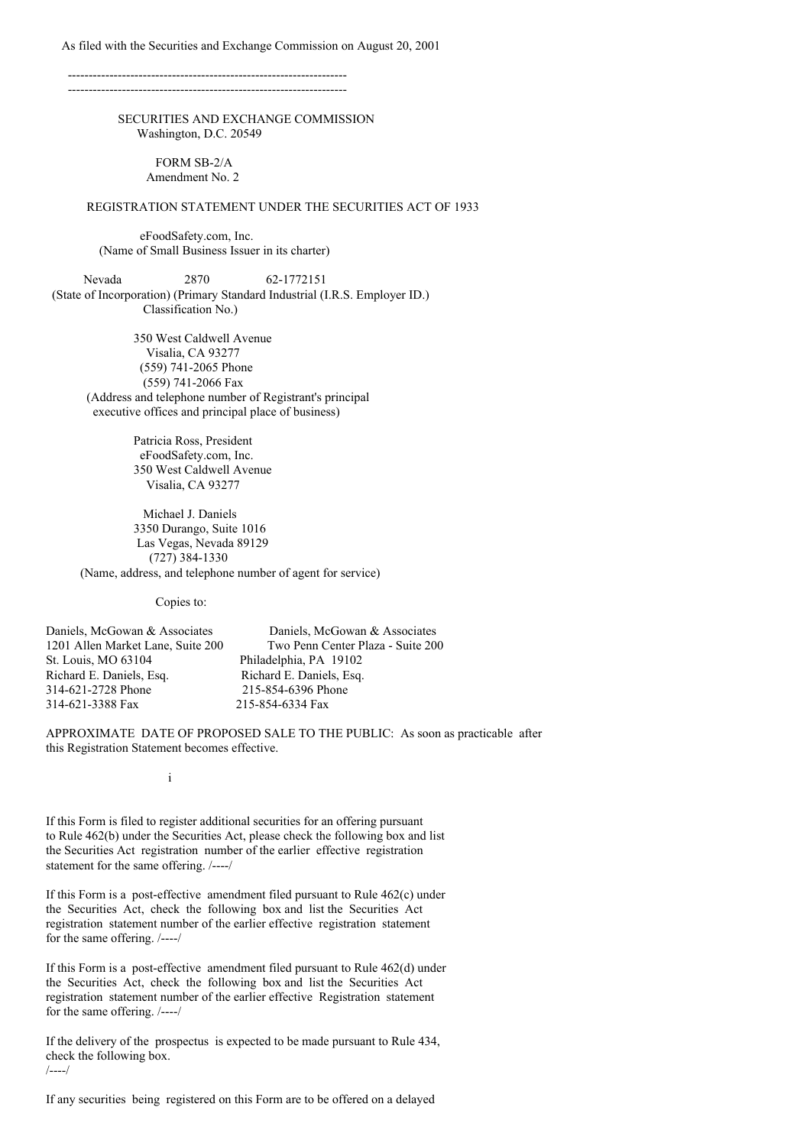As filed with the Securities and Exchange Commission on August 20, 2001

-------------------------------------------------------------------  $-$ 

> SECURITIES AND EXCHANGE COMMISSION Washington, D.C. 20549

> > FORM SB-2/A Amendment No. 2

### REGISTRATION STATEMENT UNDER THE SECURITIES ACT OF 1933

eFoodSafety.com, Inc. (Name of Small Business Issuer in its charter)

Nevada 2870 62-1772151 (State of Incorporation) (Primary Standard Industrial (I.R.S. Employer ID.) Classification No.)

350 West Caldwell Avenue Visalia, CA 93277 (559) 741-2065 Phone (559) 741-2066 Fax (Address and telephone number of Registrant's principal executive offices and principal place of business)

> Patricia Ross, President eFoodSafety.com, Inc. 350 West Caldwell Avenue Visalia, CA 93277

Michael J. Daniels 3350 Durango, Suite 1016 Las Vegas, Nevada 89129 (727) 384-1330 (Name, address, and telephone number of agent for service)

Copies to:

| Daniels, McGowan & Associates     | Daniels, McGowan & Associates     |
|-----------------------------------|-----------------------------------|
| 1201 Allen Market Lane, Suite 200 | Two Penn Center Plaza - Suite 200 |
| St. Louis, MO 63104               | Philadelphia, PA 19102            |
| Richard E. Daniels, Esq.          | Richard E. Daniels, Esq.          |
| 314-621-2728 Phone                | 215-854-6396 Phone                |
| 314-621-3388 Fax                  | 215-854-6334 Fax                  |

APPROXIMATE DATE OF PROPOSED SALE TO THE PUBLIC: As soon as practicable after this Registration Statement becomes effective.

i

If this Form is filed to register additional securities for an offering pursuant to Rule 462(b) under the Securities Act, please check the following box and list the Securities Act registration number of the earlier effective registration statement for the same offering. /----/

If this Form is a post-effective amendment filed pursuant to Rule 462(c) under the Securities Act, check the following box and list the Securities Act registration statement number of the earlier effective registration statement for the same offering. /----/

If this Form is a post-effective amendment filed pursuant to Rule 462(d) under the Securities Act, check the following box and list the Securities Act registration statement number of the earlier effective Registration statement for the same offering. /----/

If the delivery of the prospectus is expected to be made pursuant to Rule 434, check the following box. /----/

If any securities being registered on this Form are to be offered on a delayed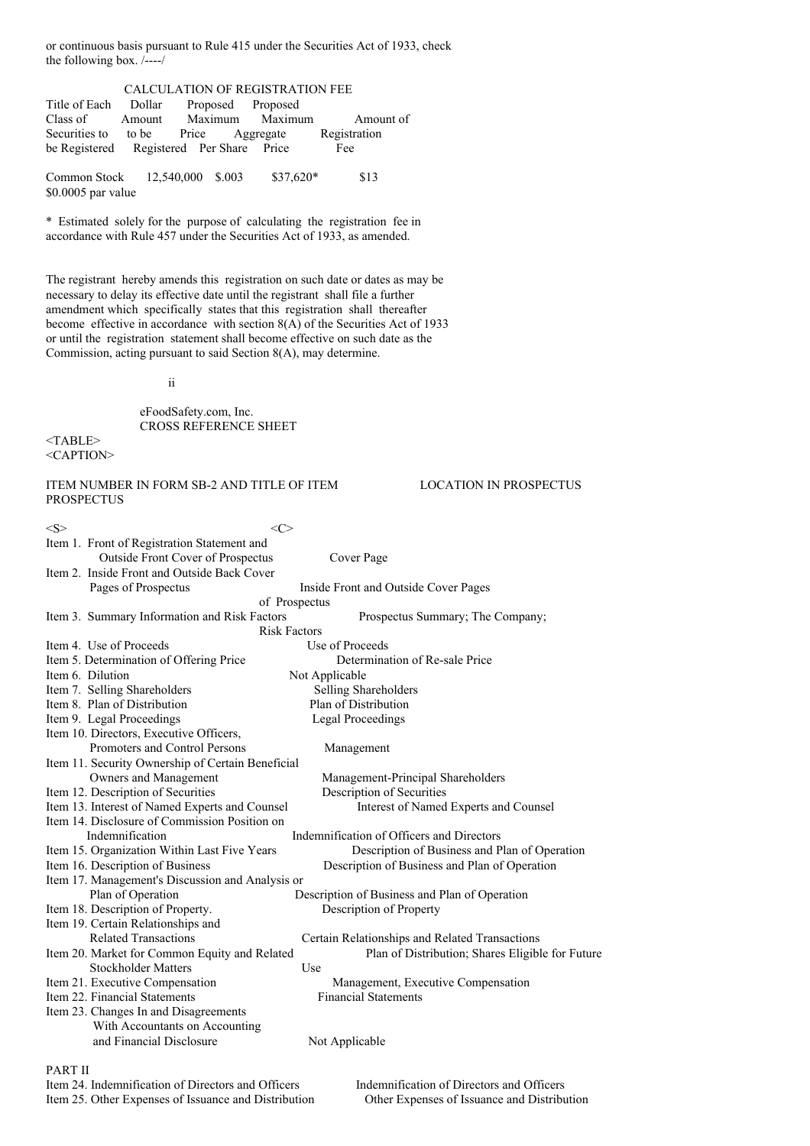or continuous basis pursuant to Rule 415 under the Securities Act of 1933, check the following box. /----/

| CALCULATION OF REGISTRATION FEE          |  |  |  |                        |              |
|------------------------------------------|--|--|--|------------------------|--------------|
| Title of Each Dollar Proposed Proposed   |  |  |  |                        |              |
| Class of                                 |  |  |  | Amount Maximum Maximum | Amount of    |
| Securities to to be Price Aggregate      |  |  |  |                        | Registration |
| be Registered Registered Per Share Price |  |  |  |                        | Fee          |
|                                          |  |  |  |                        |              |
| Common Stock 12,540,000 \$.003           |  |  |  | $$37,620*$             | \$13         |
| $$0.0005$ par value                      |  |  |  |                        |              |

\* Estimated solely for the purpose of calculating the registration fee in accordance with Rule 457 under the Securities Act of 1933, as amended.

The registrant hereby amends this registration on such date or dates as may be necessary to delay its effective date until the registrant shall file a further amendment which specifically states that this registration shall thereafter become effective in accordance with section 8(A) of the Securities Act of 1933 or until the registration statement shall become effective on such date as the Commission, acting pursuant to said Section 8(A), may determine.

ii

eFoodSafety.com, Inc. CROSS REFERENCE SHEET

 $<$ TABLE $>$ <CAPTION>

# ITEM NUMBER IN FORM SB-2 AND TITLE OF ITEM LOCATION IN PROSPECTUS PROSPECTUS

# $\langle S \rangle$   $\langle \langle \rangle$ Item 1. Front of Registration Statement and Outside Front Cover of Prospectus Cover Page Item 2. Inside Front and Outside Back Cover Pages of Prospectus Inside Front and Outside Cover Pages of Prospectus Item 3. Summary Information and Risk Factors Prospectus Summary; The Company; Risk Factors Item 4. Use of Proceeds Item 5. Determination of Offering Price Determination of Re-sale Price Item 6. Dilution Not Applicable Item 7. Selling Shareholders Selling Shareholders Item 8. Plan of Distribution Plan of Distribution Item 9. Legal Proceedings Legal Proceedings Item 10. Directors, Executive Officers, Promoters and Control Persons Management Item 11. Security Ownership of Certain Beneficial Owners and Management Management-Principal Shareholders Item 12. Description of Securities Description of Securities Item 13. Interest of Named Experts and Counsel Interest of Named Experts and Counsel Item 14. Disclosure of Commission Position on Indemnification Indemnification of Officers and Directors Item 15. Organization Within Last Five Years Description of Business and Plan of Operation Item 16. Description of Business Description of Business and Plan of Operation Item 17. Management's Discussion and Analysis or Plan of Operation Description of Business and Plan of Operation Item 18. Description of Property. Description of Property Item 19. Certain Relationships and Related Transactions Certain Relationships and Related Transactions Item 20. Market for Common Equity and Related Plan of Distribution; Shares Eligible for Future Stockholder Matters Use Item 21. Executive Compensation Management, Executive Compensation Item 22. Financial Statements Financial Statements Item 23. Changes In and Disagreements With Accountants on Accounting and Financial Disclosure Not Applicable PART II

Item 24. Indemnification of Directors and Officers Indemnification of Directors and Officers Item 25. Other Expenses of Issuance and Distribution Other Expenses of Issuance and Distribution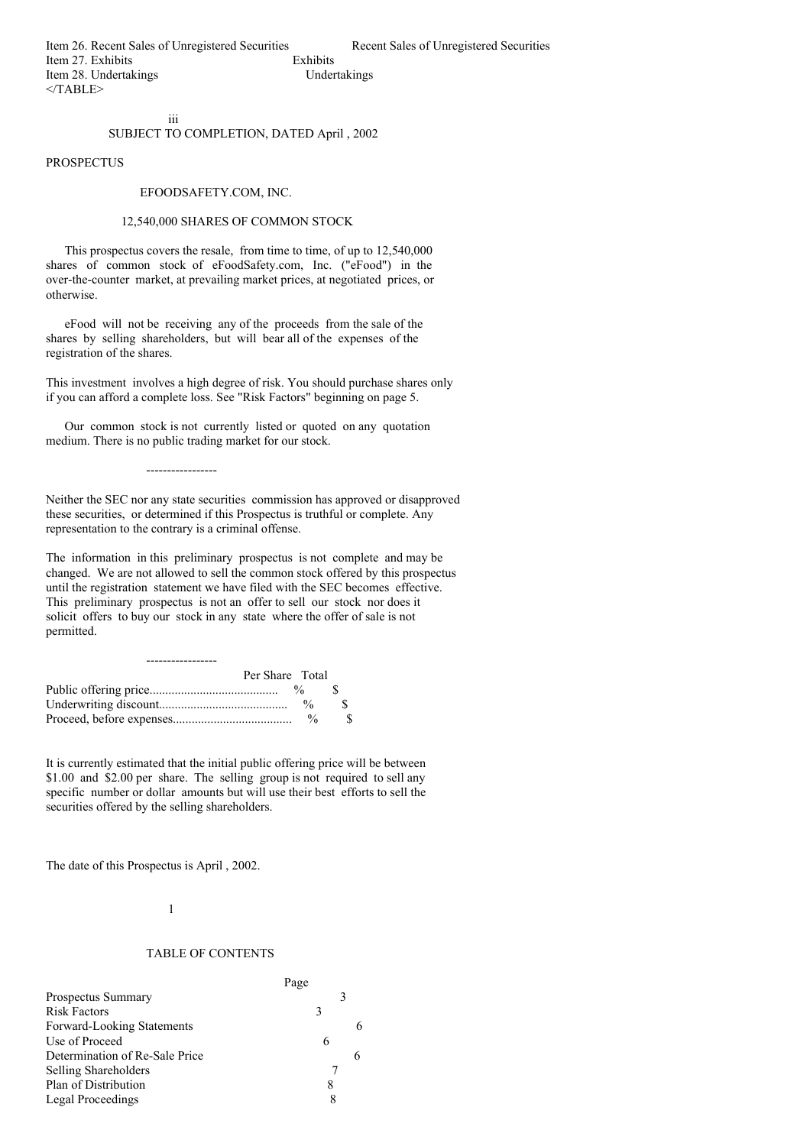## iii SUBJECT TO COMPLETION, DATED April , 2002

PROSPECTUS

### EFOODSAFETY.COM, INC.

### 12,540,000 SHARES OF COMMON STOCK

This prospectus covers the resale, from time to time, of up to 12,540,000 shares of common stock of eFoodSafety.com, Inc. ("eFood") in the over-the-counter market, at prevailing market prices, at negotiated prices, or otherwise.

eFood will not be receiving any of the proceeds from the sale of the shares by selling shareholders, but will bear all of the expenses of the registration of the shares.

This investment involves a high degree of risk. You should purchase shares only if you can afford a complete loss. See "Risk Factors" beginning on page 5.

Our common stock is not currently listed or quoted on any quotation medium. There is no public trading market for our stock.

Neither the SEC nor any state securities commission has approved or disapproved these securities, or determined if this Prospectus is truthful or complete. Any representation to the contrary is a criminal offense.

The information in this preliminary prospectus is not complete and may be changed. We are not allowed to sell the common stock offered by this prospectus until the registration statement we have filed with the SEC becomes effective. This preliminary prospectus is not an offer to sell our stock nor does it solicit offers to buy our stock in any state where the offer of sale is not permitted.

| Per Share Total |                    |  |
|-----------------|--------------------|--|
|                 |                    |  |
|                 | $\frac{0}{\alpha}$ |  |
|                 | $\frac{0}{6}$      |  |

-----------------

It is currently estimated that the initial public offering price will be between \$1.00 and \$2.00 per share. The selling group is not required to sell any specific number or dollar amounts but will use their best efforts to sell the securities offered by the selling shareholders.

The date of this Prospectus is April , 2002.

### 1

# TABLE OF CONTENTS

|                                | Page |
|--------------------------------|------|
| <b>Prospectus Summary</b>      | 3    |
| <b>Risk Factors</b>            | 3    |
| Forward-Looking Statements     |      |
| Use of Proceed                 | 6    |
| Determination of Re-Sale Price | 6    |
| <b>Selling Shareholders</b>    |      |
| Plan of Distribution           | 8    |
| Legal Proceedings              |      |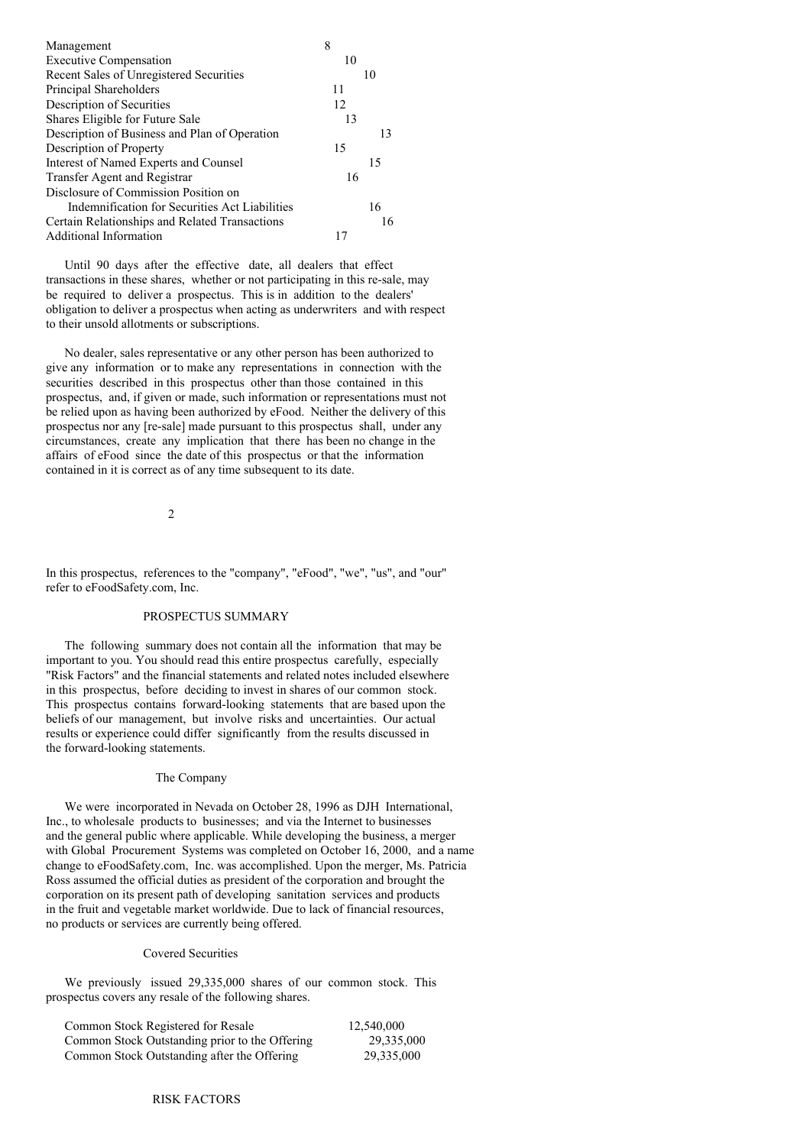| Management                                     | 8  |
|------------------------------------------------|----|
| <b>Executive Compensation</b>                  | 10 |
| Recent Sales of Unregistered Securities        | 10 |
| Principal Shareholders                         | 11 |
| Description of Securities                      | 12 |
| Shares Eligible for Future Sale                | 13 |
| Description of Business and Plan of Operation  | 13 |
| Description of Property                        | 15 |
| Interest of Named Experts and Counsel          | 15 |
| Transfer Agent and Registrar                   | 16 |
| Disclosure of Commission Position on           |    |
| Indemnification for Securities Act Liabilities | 16 |
| Certain Relationships and Related Transactions | 16 |
| Additional Information                         | 17 |

Until 90 days after the effective date, all dealers that effect transactions in these shares, whether or not participating in this re-sale, may be required to deliver a prospectus. This is in addition to the dealers' obligation to deliver a prospectus when acting as underwriters and with respect to their unsold allotments or subscriptions.

No dealer, sales representative or any other person has been authorized to give any information or to make any representations in connection with the securities described in this prospectus other than those contained in this prospectus, and, if given or made, such information or representations must not be relied upon as having been authorized by eFood. Neither the delivery of this prospectus nor any [re-sale] made pursuant to this prospectus shall, under any circumstances, create any implication that there has been no change in the affairs of eFood since the date of this prospectus or that the information contained in it is correct as of any time subsequent to its date.

 $\mathcal{L}$ 

In this prospectus, references to the "company", "eFood", "we", "us", and "our" refer to eFoodSafety.com, Inc.

## PROSPECTUS SUMMARY

The following summary does not contain all the information that may be important to you. You should read this entire prospectus carefully, especially "Risk Factors" and the financial statements and related notes included elsewhere in this prospectus, before deciding to invest in shares of our common stock. This prospectus contains forward-looking statements that are based upon the beliefs of our management, but involve risks and uncertainties. Our actual results or experience could differ significantly from the results discussed in the forward-looking statements.

### The Company

We were incorporated in Nevada on October 28, 1996 as DJH International, Inc., to wholesale products to businesses; and via the Internet to businesses and the general public where applicable. While developing the business, a merger with Global Procurement Systems was completed on October 16, 2000, and a name change to eFoodSafety.com, Inc. was accomplished. Upon the merger, Ms. Patricia Ross assumed the official duties as president of the corporation and brought the corporation on its present path of developing sanitation services and products in the fruit and vegetable market worldwide. Due to lack of financial resources, no products or services are currently being offered.

## Covered Securities

We previously issued 29,335,000 shares of our common stock. This prospectus covers any resale of the following shares.

| Common Stock Registered for Resale             | 12,540,000 |
|------------------------------------------------|------------|
| Common Stock Outstanding prior to the Offering | 29.335,000 |
| Common Stock Outstanding after the Offering    | 29,335,000 |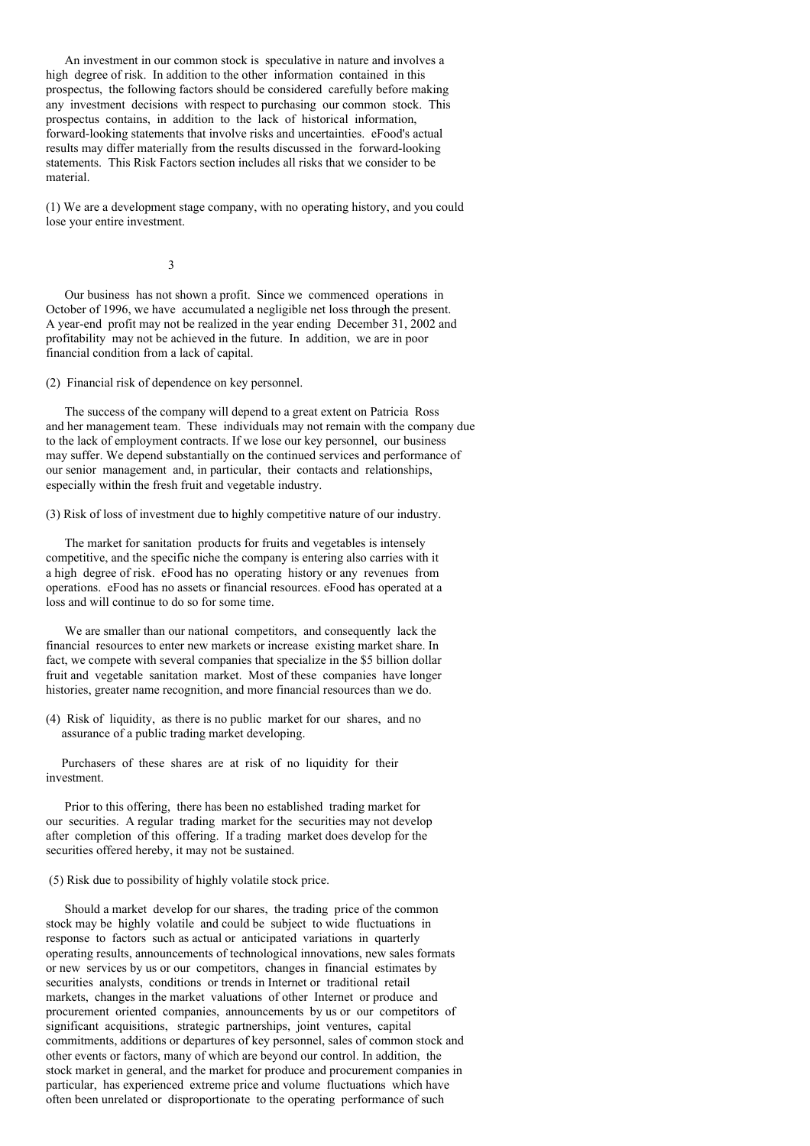An investment in our common stock is speculative in nature and involves a high degree of risk. In addition to the other information contained in this prospectus, the following factors should be considered carefully before making any investment decisions with respect to purchasing our common stock. This prospectus contains, in addition to the lack of historical information, forward-looking statements that involve risks and uncertainties. eFood's actual results may differ materially from the results discussed in the forward-looking statements. This Risk Factors section includes all risks that we consider to be material.

(1) We are a development stage company, with no operating history, and you could lose your entire investment.

3

Our business has not shown a profit. Since we commenced operations in October of 1996, we have accumulated a negligible net loss through the present. A year-end profit may not be realized in the year ending December 31, 2002 and profitability may not be achieved in the future. In addition, we are in poor financial condition from a lack of capital.

(2) Financial risk of dependence on key personnel.

The success of the company will depend to a great extent on Patricia Ross and her management team. These individuals may not remain with the company due to the lack of employment contracts. If we lose our key personnel, our business may suffer. We depend substantially on the continued services and performance of our senior management and, in particular, their contacts and relationships, especially within the fresh fruit and vegetable industry.

(3) Risk of loss of investment due to highly competitive nature of our industry.

The market for sanitation products for fruits and vegetables is intensely competitive, and the specific niche the company is entering also carries with it a high degree of risk. eFood has no operating history or any revenues from operations. eFood has no assets or financial resources. eFood has operated at a loss and will continue to do so for some time.

We are smaller than our national competitors, and consequently lack the financial resources to enter new markets or increase existing market share. In fact, we compete with several companies that specialize in the \$5 billion dollar fruit and vegetable sanitation market. Most of these companies have longer histories, greater name recognition, and more financial resources than we do.

(4) Risk of liquidity, as there is no public market for our shares, and no assurance of a public trading market developing.

Purchasers of these shares are at risk of no liquidity for their investment.

Prior to this offering, there has been no established trading market for our securities. A regular trading market for the securities may not develop after completion of this offering. If a trading market does develop for the securities offered hereby, it may not be sustained.

(5) Risk due to possibility of highly volatile stock price.

Should a market develop for our shares, the trading price of the common stock may be highly volatile and could be subject to wide fluctuations in response to factors such as actual or anticipated variations in quarterly operating results, announcements of technological innovations, new sales formats or new services by us or our competitors, changes in financial estimates by securities analysts, conditions or trends in Internet or traditional retail markets, changes in the market valuations of other Internet or produce and procurement oriented companies, announcements by us or our competitors of significant acquisitions, strategic partnerships, joint ventures, capital commitments, additions or departures of key personnel, sales of common stock and other events or factors, many of which are beyond our control. In addition, the stock market in general, and the market for produce and procurement companies in particular, has experienced extreme price and volume fluctuations which have often been unrelated or disproportionate to the operating performance of such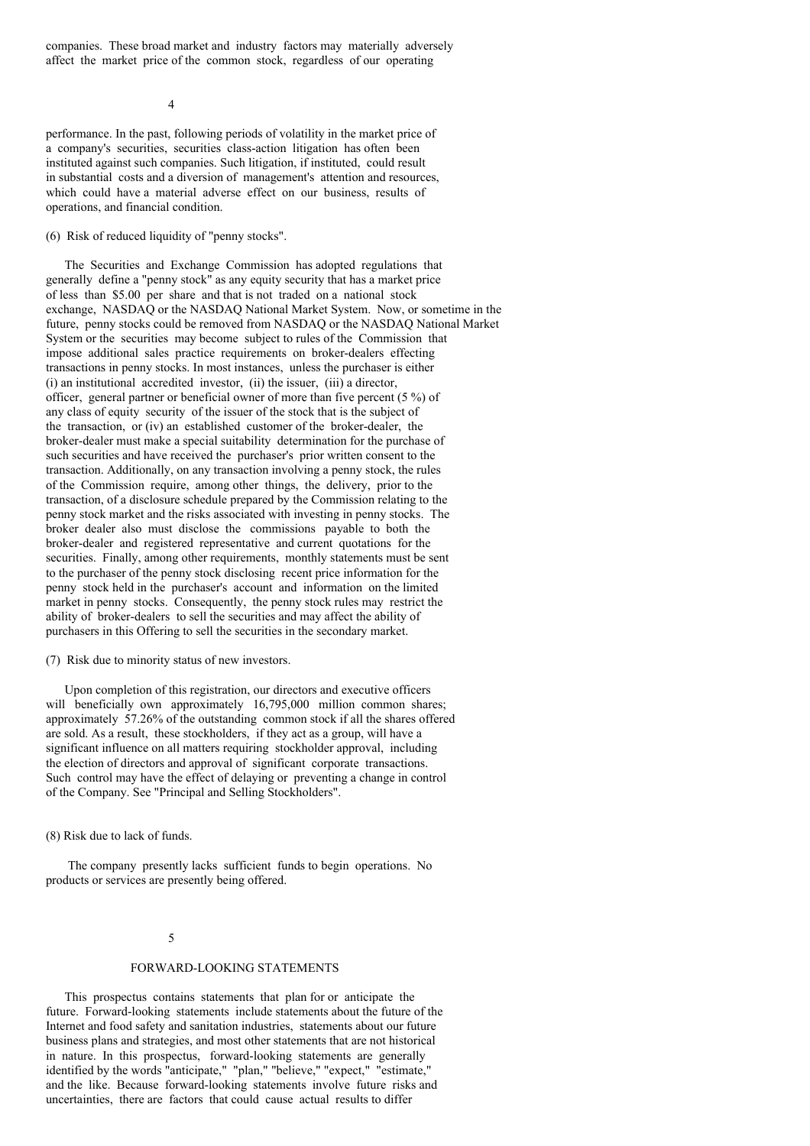companies. These broad market and industry factors may materially adversely affect the market price of the common stock, regardless of our operating

4

performance. In the past, following periods of volatility in the market price of a company's securities, securities class-action litigation has often been instituted against such companies. Such litigation, if instituted, could result in substantial costs and a diversion of management's attention and resources, which could have a material adverse effect on our business, results of operations, and financial condition.

(6) Risk of reduced liquidity of "penny stocks".

The Securities and Exchange Commission has adopted regulations that generally define a "penny stock" as any equity security that has a market price of less than \$5.00 per share and that is not traded on a national stock exchange, NASDAQ or the NASDAQ National Market System. Now, or sometime in the future, penny stocks could be removed from NASDAQ or the NASDAQ National Market System or the securities may become subject to rules of the Commission that impose additional sales practice requirements on broker-dealers effecting transactions in penny stocks. In most instances, unless the purchaser is either (i) an institutional accredited investor, (ii) the issuer, (iii) a director, officer, general partner or beneficial owner of more than five percent (5 %) of any class of equity security of the issuer of the stock that is the subject of the transaction, or (iv) an established customer of the broker-dealer, the broker-dealer must make a special suitability determination for the purchase of such securities and have received the purchaser's prior written consent to the transaction. Additionally, on any transaction involving a penny stock, the rules of the Commission require, among other things, the delivery, prior to the transaction, of a disclosure schedule prepared by the Commission relating to the penny stock market and the risks associated with investing in penny stocks. The broker dealer also must disclose the commissions payable to both the broker-dealer and registered representative and current quotations for the securities. Finally, among other requirements, monthly statements must be sent to the purchaser of the penny stock disclosing recent price information for the penny stock held in the purchaser's account and information on the limited market in penny stocks. Consequently, the penny stock rules may restrict the ability of broker-dealers to sell the securities and may affect the ability of purchasers in this Offering to sell the securities in the secondary market.

(7) Risk due to minority status of new investors.

Upon completion of this registration, our directors and executive officers will beneficially own approximately 16,795,000 million common shares; approximately 57.26% of the outstanding common stock if all the shares offered are sold. As a result, these stockholders, if they act as a group, will have a significant influence on all matters requiring stockholder approval, including the election of directors and approval of significant corporate transactions. Such control may have the effect of delaying or preventing a change in control of the Company. See "Principal and Selling Stockholders".

(8) Risk due to lack of funds.

The company presently lacks sufficient funds to begin operations. No products or services are presently being offered.

#### 5

#### FORWARD-LOOKING STATEMENTS

This prospectus contains statements that plan for or anticipate the future. Forward-looking statements include statements about the future of the Internet and food safety and sanitation industries, statements about our future business plans and strategies, and most other statements that are not historical in nature. In this prospectus, forward-looking statements are generally identified by the words "anticipate," "plan," "believe," "expect," "estimate," and the like. Because forward-looking statements involve future risks and uncertainties, there are factors that could cause actual results to differ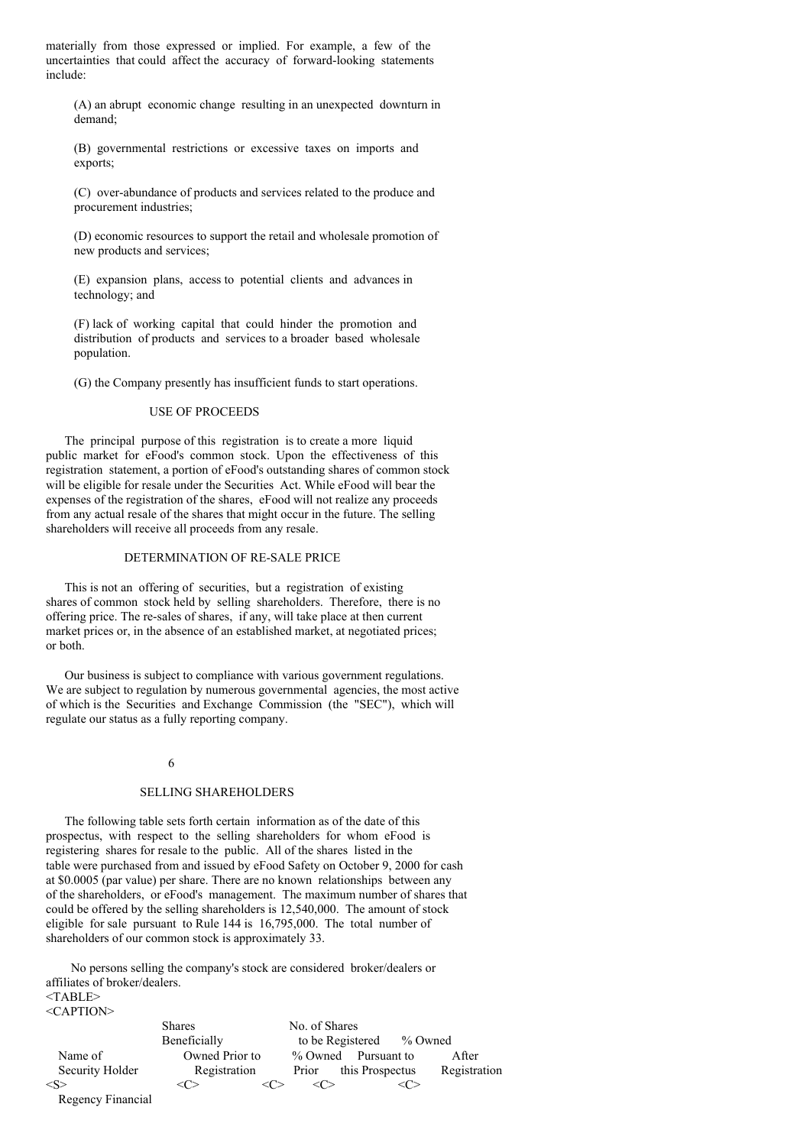materially from those expressed or implied. For example, a few of the uncertainties that could affect the accuracy of forward-looking statements include:

(A) an abrupt economic change resulting in an unexpected downturn in demand;

(B) governmental restrictions or excessive taxes on imports and exports;

(C) over-abundance of products and services related to the produce and procurement industries;

(D) economic resources to support the retail and wholesale promotion of new products and services;

(E) expansion plans, access to potential clients and advances in technology; and

(F) lack of working capital that could hinder the promotion and distribution of products and services to a broader based wholesale population.

(G) the Company presently has insufficient funds to start operations.

### USE OF PROCEEDS

The principal purpose of this registration is to create a more liquid public market for eFood's common stock. Upon the effectiveness of this registration statement, a portion of eFood's outstanding shares of common stock will be eligible for resale under the Securities Act. While eFood will bear the expenses of the registration of the shares, eFood will not realize any proceeds from any actual resale of the shares that might occur in the future. The selling shareholders will receive all proceeds from any resale.

# DETERMINATION OF RE-SALE PRICE

This is not an offering of securities, but a registration of existing shares of common stock held by selling shareholders. Therefore, there is no offering price. The re-sales of shares, if any, will take place at then current market prices or, in the absence of an established market, at negotiated prices; or both.

Our business is subject to compliance with various government regulations. We are subject to regulation by numerous governmental agencies, the most active of which is the Securities and Exchange Commission (the "SEC"), which will regulate our status as a fully reporting company.

### 6

## SELLING SHAREHOLDERS

The following table sets forth certain information as of the date of this prospectus, with respect to the selling shareholders for whom eFood is registering shares for resale to the public. All of the shares listed in the table were purchased from and issued by eFood Safety on October 9, 2000 for cash at \$0.0005 (par value) per share. There are no known relationships between any of the shareholders, or eFood's management. The maximum number of shares that could be offered by the selling shareholders is 12,540,000. The amount of stock eligible for sale pursuant to Rule 144 is 16,795,000. The total number of shareholders of our common stock is approximately 33.

No persons selling the company's stock are considered broker/dealers or affiliates of broker/dealers. <TABLE>

<CAPTION>

|                   | <b>Shares</b>  | No. of Shares            |              |
|-------------------|----------------|--------------------------|--------------|
|                   | Beneficially   | to be Registered % Owned |              |
| Name of           | Owned Prior to | % Owned<br>Pursuant to   | After        |
| Security Holder   | Registration   | this Prospectus<br>Prior | Registration |
| $<\!S>$           |                |                          |              |
| Regency Financial |                |                          |              |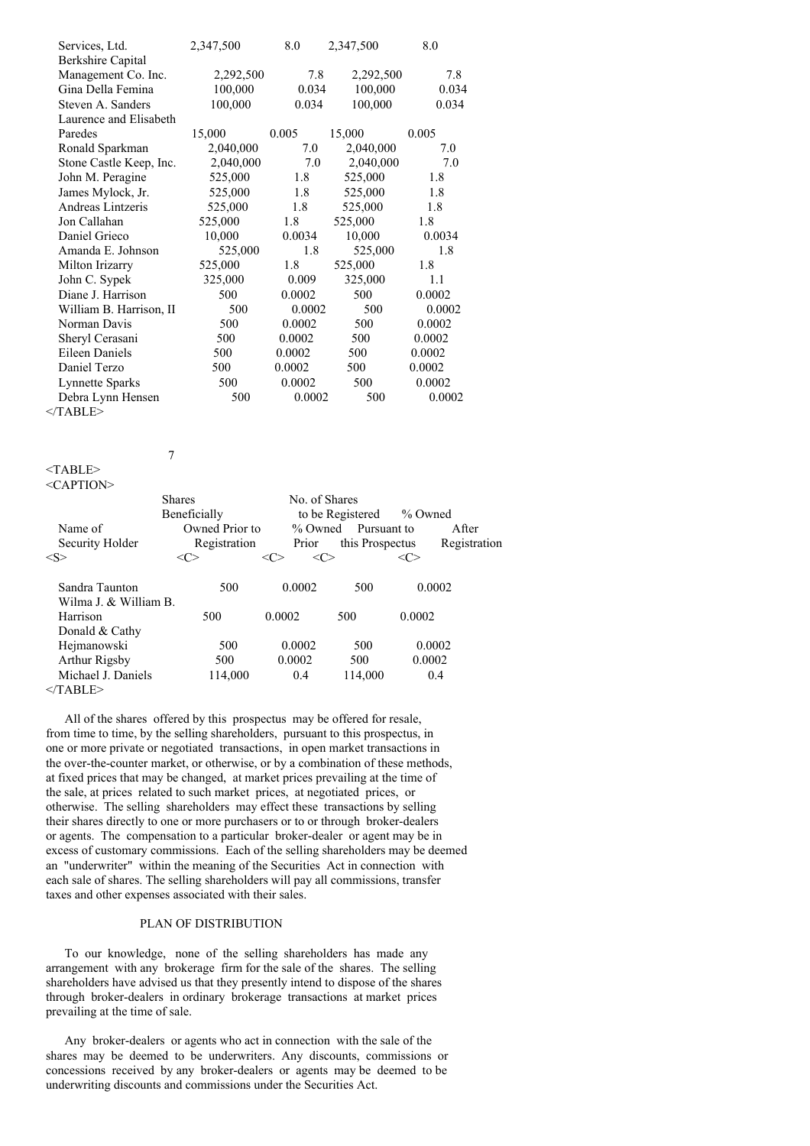| Services, Ltd.          | 2,347,500 | 8.0    | 2,347,500 | 8.0    |
|-------------------------|-----------|--------|-----------|--------|
| Berkshire Capital       |           |        |           |        |
| Management Co. Inc.     | 2,292,500 | 7.8    | 2,292,500 | 7.8    |
| Gina Della Femina       | 100,000   | 0.034  | 100,000   | 0.034  |
| Steven A. Sanders       | 100,000   | 0.034  | 100,000   | 0.034  |
| Laurence and Elisabeth  |           |        |           |        |
| Paredes                 | 15,000    | 0.005  | 15,000    | 0.005  |
| Ronald Sparkman         | 2,040,000 | 7.0    | 2,040,000 | 7.0    |
| Stone Castle Keep, Inc. | 2,040,000 | 7.0    | 2,040,000 | 7.0    |
| John M. Peragine        | 525,000   | 1.8    | 525,000   | 1.8    |
| James Mylock, Jr.       | 525,000   | 1.8    | 525,000   | 1.8    |
| Andreas Lintzeris       | 525,000   | 1.8    | 525,000   | 1.8    |
| Jon Callahan            | 525,000   | 1.8    | 525,000   | 1.8    |
| Daniel Grieco           | 10,000    | 0.0034 | 10,000    | 0.0034 |
| Amanda E. Johnson       | 525,000   | 1.8    | 525,000   | 1.8    |
| Milton Irizarry         | 525,000   | 1.8    | 525,000   | 1.8    |
| John C. Sypek           | 325,000   | 0.009  | 325,000   | 1.1    |
| Diane J. Harrison       | 500       | 0.0002 | 500       | 0.0002 |
| William B. Harrison, II | 500       | 0.0002 | 500       | 0.0002 |
| Norman Davis            | 500       | 0.0002 | 500       | 0.0002 |
| Sheryl Cerasani         | 500       | 0.0002 | 500       | 0.0002 |
| <b>Eileen Daniels</b>   | 500       | 0.0002 | 500       | 0.0002 |
| Daniel Terzo            | 500       | 0.0002 | 500       | 0.0002 |
| Lynnette Sparks         | 500       | 0.0002 | 500       | 0.0002 |
| Debra Lynn Hensen       | 500       | 0.0002 | 500       | 0.0002 |
| $/T$ and $T\sim$        |           |        |           |        |

 $<$ /TABLE>

7

<TABLE> <CAPTION>

|                       | <b>Shares</b><br>Beneficially | No. of Shares | to be Registered | % Owned      |              |
|-----------------------|-------------------------------|---------------|------------------|--------------|--------------|
| Name of               | Owned Prior to                | $\%$ Owned    | Pursuant to      |              | After        |
| Security Holder       | Registration                  | Prior         | this Prospectus  |              | Registration |
| $<\!\!S\!\!>$         | <≀ ∵                          | <∩><br><േ     |                  | $\langle$ C> |              |
| Sandra Taunton        | 500                           | 0.0002        | 500              | 0.0002       |              |
| Wilma J. & William B. |                               |               |                  |              |              |
| Harrison              | 500                           | 0.0002        | 500              | 0.0002       |              |
| Donald & Cathy        |                               |               |                  |              |              |
| Hejmanowski           | 500                           | 0.0002        | 500              | 0.0002       |              |
| Arthur Rigsby         | 500                           | 0.0002        | 500              | 0.0002       |              |
| Michael J. Daniels    | 114.000                       | 0.4           | 114,000          | 0.4          |              |
|                       |                               |               |                  |              |              |

 $<$ /TABLE>

All of the shares offered by this prospectus may be offered for resale, from time to time, by the selling shareholders, pursuant to this prospectus, in one or more private or negotiated transactions, in open market transactions in the over-the-counter market, or otherwise, or by a combination of these methods, at fixed prices that may be changed, at market prices prevailing at the time of the sale, at prices related to such market prices, at negotiated prices, or otherwise. The selling shareholders may effect these transactions by selling their shares directly to one or more purchasers or to or through broker-dealers or agents. The compensation to a particular broker-dealer or agent may be in excess of customary commissions. Each of the selling shareholders may be deemed an "underwriter" within the meaning of the Securities Act in connection with each sale of shares. The selling shareholders will pay all commissions, transfer taxes and other expenses associated with their sales.

# PLAN OF DISTRIBUTION

To our knowledge, none of the selling shareholders has made any arrangement with any brokerage firm for the sale of the shares. The selling shareholders have advised us that they presently intend to dispose of the shares through broker-dealers in ordinary brokerage transactions at market prices prevailing at the time of sale.

Any broker-dealers or agents who act in connection with the sale of the shares may be deemed to be underwriters. Any discounts, commissions or concessions received by any broker-dealers or agents may be deemed to be underwriting discounts and commissions under the Securities Act.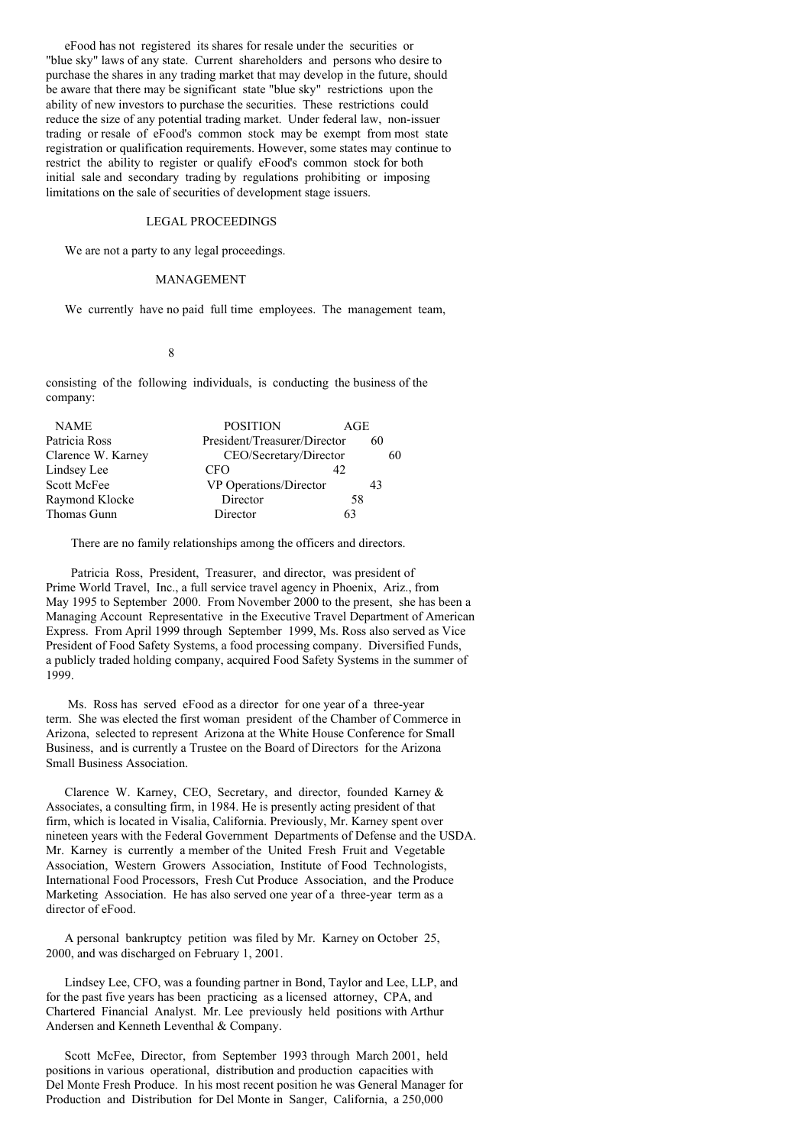eFood has not registered its shares for resale under the securities or "blue sky" laws of any state. Current shareholders and persons who desire to purchase the shares in any trading market that may develop in the future, should be aware that there may be significant state "blue sky" restrictions upon the ability of new investors to purchase the securities. These restrictions could reduce the size of any potential trading market. Under federal law, non-issuer trading or resale of eFood's common stock may be exempt from most state registration or qualification requirements. However, some states may continue to restrict the ability to register or qualify eFood's common stock for both initial sale and secondary trading by regulations prohibiting or imposing limitations on the sale of securities of development stage issuers.

### LEGAL PROCEEDINGS

We are not a party to any legal proceedings.

#### MANAGEMENT

We currently have no paid full time employees. The management team,

# 8

consisting of the following individuals, is conducting the business of the company:

| <b>NAME</b>        | <b>POSITION</b>              | AGE |    |
|--------------------|------------------------------|-----|----|
| Patricia Ross      | President/Treasurer/Director | 60  |    |
| Clarence W. Karney | CEO/Secretary/Director       |     | 60 |
| Lindsey Lee        | CFO                          | 42  |    |
| Scott McFee        | VP Operations/Director       | 43  |    |
| Raymond Klocke     | Director                     | 58  |    |
| Thomas Gunn        | Director                     | 63  |    |

There are no family relationships among the officers and directors.

Patricia Ross, President, Treasurer, and director, was president of Prime World Travel, Inc., a full service travel agency in Phoenix, Ariz., from May 1995 to September 2000. From November 2000 to the present, she has been a Managing Account Representative in the Executive Travel Department of American Express. From April 1999 through September 1999, Ms. Ross also served as Vice President of Food Safety Systems, a food processing company. Diversified Funds, a publicly traded holding company, acquired Food Safety Systems in the summer of 1999.

Ms. Ross has served eFood as a director for one year of a three-year term. She was elected the first woman president of the Chamber of Commerce in Arizona, selected to represent Arizona at the White House Conference for Small Business, and is currently a Trustee on the Board of Directors for the Arizona Small Business Association.

Clarence W. Karney, CEO, Secretary, and director, founded Karney & Associates, a consulting firm, in 1984. He is presently acting president of that firm, which is located in Visalia, California. Previously, Mr. Karney spent over nineteen years with the Federal Government Departments of Defense and the USDA. Mr. Karney is currently a member of the United Fresh Fruit and Vegetable Association, Western Growers Association, Institute of Food Technologists, International Food Processors, Fresh Cut Produce Association, and the Produce Marketing Association. He has also served one year of a three-year term as a director of eFood.

A personal bankruptcy petition was filed by Mr. Karney on October 25, 2000, and was discharged on February 1, 2001.

Lindsey Lee, CFO, was a founding partner in Bond, Taylor and Lee, LLP, and for the past five years has been practicing as a licensed attorney, CPA, and Chartered Financial Analyst. Mr. Lee previously held positions with Arthur Andersen and Kenneth Leventhal & Company.

Scott McFee, Director, from September 1993 through March 2001, held positions in various operational, distribution and production capacities with Del Monte Fresh Produce. In his most recent position he was General Manager for Production and Distribution for Del Monte in Sanger, California, a 250,000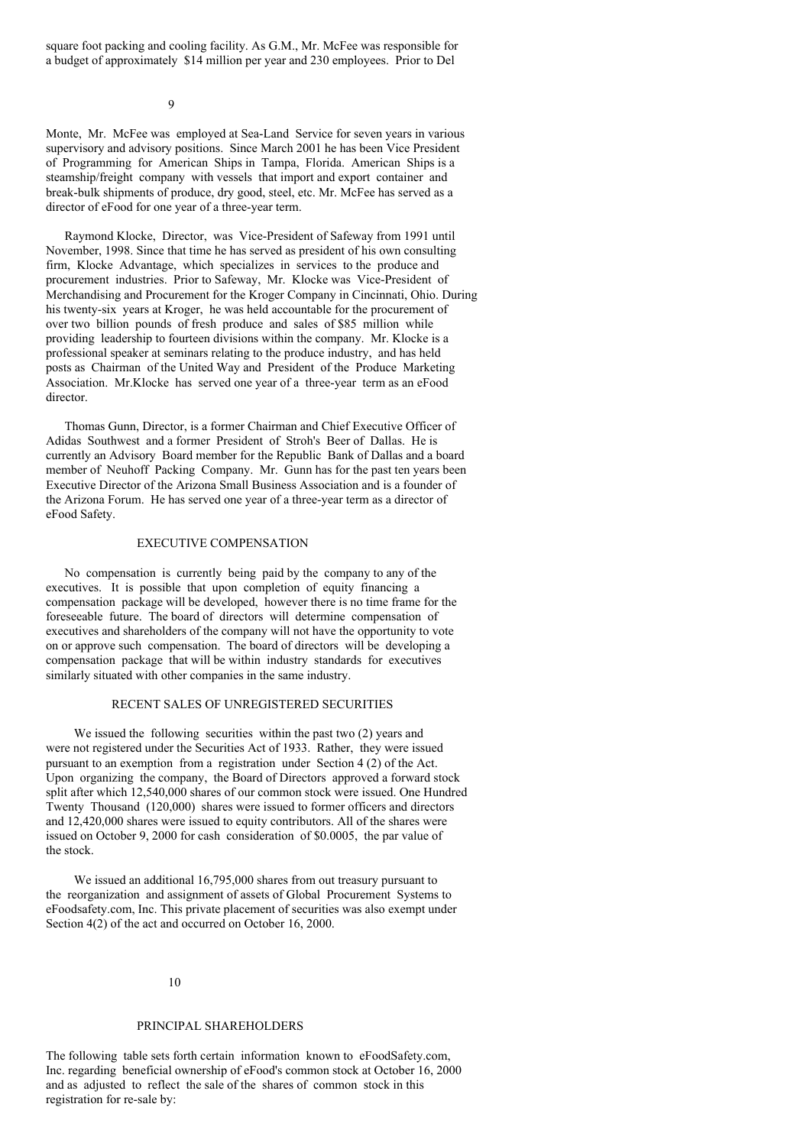square foot packing and cooling facility. As G.M., Mr. McFee was responsible for a budget of approximately \$14 million per year and 230 employees. Prior to Del

 $\overline{Q}$ 

Monte, Mr. McFee was employed at Sea-Land Service for seven years in various supervisory and advisory positions. Since March 2001 he has been Vice President of Programming for American Ships in Tampa, Florida. American Ships is a steamship/freight company with vessels that import and export container and break-bulk shipments of produce, dry good, steel, etc. Mr. McFee has served as a director of eFood for one year of a three-year term.

Raymond Klocke, Director, was Vice-President of Safeway from 1991 until November, 1998. Since that time he has served as president of his own consulting firm, Klocke Advantage, which specializes in services to the produce and procurement industries. Prior to Safeway, Mr. Klocke was Vice-President of Merchandising and Procurement for the Kroger Company in Cincinnati, Ohio. During his twenty-six years at Kroger, he was held accountable for the procurement of over two billion pounds of fresh produce and sales of \$85 million while providing leadership to fourteen divisions within the company. Mr. Klocke is a professional speaker at seminars relating to the produce industry, and has held posts as Chairman of the United Way and President of the Produce Marketing Association. Mr.Klocke has served one year of a three-year term as an eFood director.

Thomas Gunn, Director, is a former Chairman and Chief Executive Officer of Adidas Southwest and a former President of Stroh's Beer of Dallas. He is currently an Advisory Board member for the Republic Bank of Dallas and a board member of Neuhoff Packing Company. Mr. Gunn has for the past ten years been Executive Director of the Arizona Small Business Association and is a founder of the Arizona Forum. He has served one year of a three-year term as a director of eFood Safety.

## EXECUTIVE COMPENSATION

No compensation is currently being paid by the company to any of the executives. It is possible that upon completion of equity financing a compensation package will be developed, however there is no time frame for the foreseeable future. The board of directors will determine compensation of executives and shareholders of the company will not have the opportunity to vote on or approve such compensation. The board of directors will be developing a compensation package that will be within industry standards for executives similarly situated with other companies in the same industry.

## RECENT SALES OF UNREGISTERED SECURITIES

We issued the following securities within the past two  $(2)$  years and were not registered under the Securities Act of 1933. Rather, they were issued pursuant to an exemption from a registration under Section 4 (2) of the Act. Upon organizing the company, the Board of Directors approved a forward stock split after which 12,540,000 shares of our common stock were issued. One Hundred Twenty Thousand (120,000) shares were issued to former officers and directors and 12,420,000 shares were issued to equity contributors. All of the shares were issued on October 9, 2000 for cash consideration of \$0.0005, the par value of the stock.

We issued an additional 16,795,000 shares from out treasury pursuant to the reorganization and assignment of assets of Global Procurement Systems to eFoodsafety.com, Inc. This private placement of securities was also exempt under Section 4(2) of the act and occurred on October 16, 2000.

### 10

### PRINCIPAL SHAREHOLDERS

The following table sets forth certain information known to eFoodSafety.com, Inc. regarding beneficial ownership of eFood's common stock at October 16, 2000 and as adjusted to reflect the sale of the shares of common stock in this registration for re-sale by: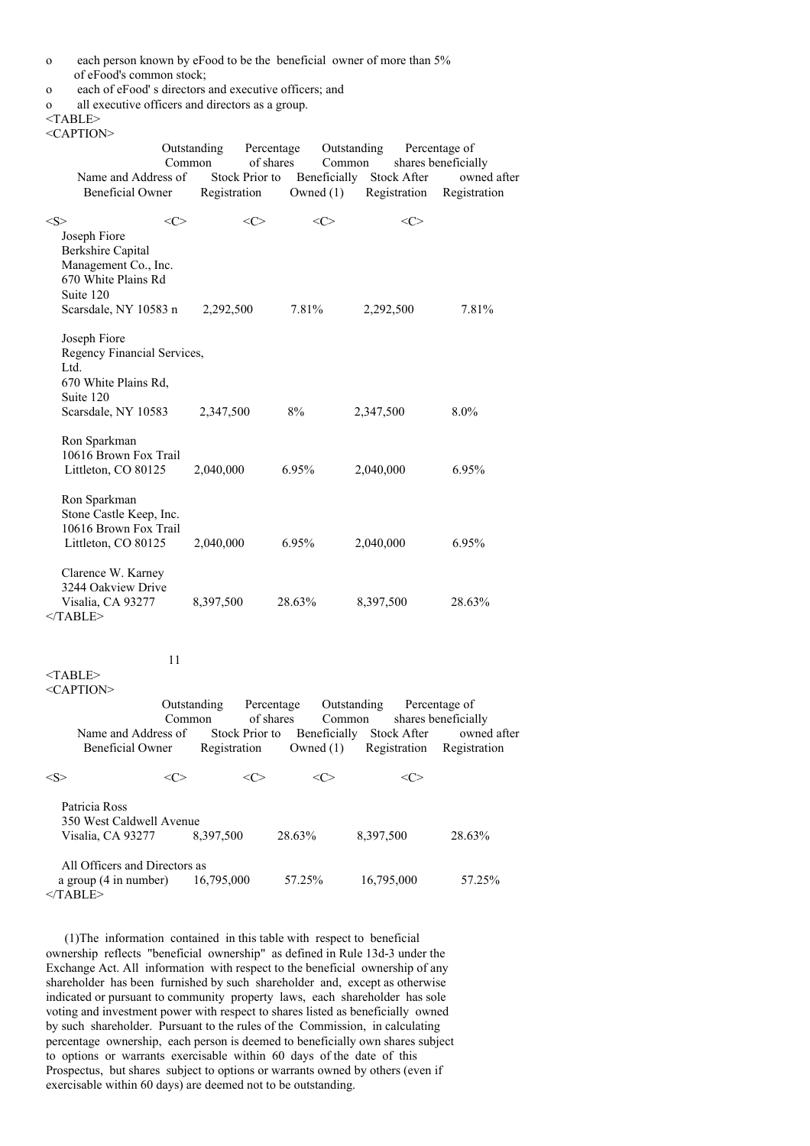- o each person known by eFood to be the beneficial owner of more than 5% of eFood's common stock;
- o each of eFood' s directors and executive officers; and
- o all executive officers and directors as a group.

<TABLE>

| <caption></caption>                                                                                                    |     |                                       |                                           |                             |                                                 |                                    |                                                                                                                                 |
|------------------------------------------------------------------------------------------------------------------------|-----|---------------------------------------|-------------------------------------------|-----------------------------|-------------------------------------------------|------------------------------------|---------------------------------------------------------------------------------------------------------------------------------|
| Name and Address of<br>Beneficial Owner                                                                                |     | Outstanding<br>Common<br>Registration | Percentage<br>of shares<br>Stock Prior to | Beneficially<br>Owned $(1)$ | Outstanding<br>Common                           | <b>Stock After</b><br>Registration | Percentage of<br>shares beneficially<br>owned after<br>Registration                                                             |
| $<\!\!S\!\!>$                                                                                                          | <<> |                                       | $<\infty$                                 | $<\infty$                   |                                                 | <c></c>                            |                                                                                                                                 |
| Joseph Fiore<br>Berkshire Capital<br>Management Co., Inc.<br>670 White Plains Rd<br>Suite 120<br>Scarsdale, NY 10583 n |     | 2,292,500                             |                                           | 7.81%                       | 2,292,500                                       |                                    | 7.81%                                                                                                                           |
| Joseph Fiore<br>Regency Financial Services,<br>Ltd.<br>670 White Plains Rd,<br>Suite 120<br>Scarsdale, NY 10583        |     | 2,347,500                             |                                           | 8%                          | 2,347,500                                       |                                    | 8.0%                                                                                                                            |
| Ron Sparkman<br>10616 Brown Fox Trail<br>Littleton, CO 80125                                                           |     | 2,040,000                             |                                           | 6.95%                       | 2,040,000                                       |                                    | 6.95%                                                                                                                           |
| Ron Sparkman<br>Stone Castle Keep, Inc.<br>10616 Brown Fox Trail<br>Littleton, CO 80125                                |     | 2,040,000                             |                                           | 6.95%                       | 2,040,000                                       |                                    | 6.95%                                                                                                                           |
| Clarence W. Karney<br>3244 Oakview Drive<br>Visalia, CA 93277<br>$<$ /TABLE>                                           |     | 8,397,500                             |                                           | 28.63%                      | 8,397,500                                       |                                    | 28.63%                                                                                                                          |
| <table><br/><caption></caption></table>                                                                                | 11  |                                       |                                           |                             |                                                 |                                    |                                                                                                                                 |
| <b>Beneficial Owner</b>                                                                                                |     | Outstanding<br>Common<br>Registration | Percentage<br>of shares                   |                             | Outstanding<br>Common<br>Owned (1) Registration |                                    | Percentage of<br>shares beneficially<br>Name and Address of Stock Prior to Beneficially Stock After owned after<br>Registration |
| $<\!\!S\!\!>$                                                                                                          | <<> |                                       | $<\infty$                                 | $<\infty$                   |                                                 | $<$ C>                             |                                                                                                                                 |
| Patricia Ross<br>350 West Caldwell Avenue<br>Visalia, CA 93277                                                         |     | 8,397,500                             |                                           | 28.63%                      | 8,397,500                                       |                                    | 28.63%                                                                                                                          |
| All Officers and Directors as<br>a group (4 in number)                                                                 |     | 16,795,000                            |                                           | 57.25%                      | 16,795,000                                      |                                    | 57.25%                                                                                                                          |

 $<$  $TABLE$ 

(1)The information contained in this table with respect to beneficial ownership reflects "beneficial ownership" as defined in Rule 13d-3 under the Exchange Act. All information with respect to the beneficial ownership of any shareholder has been furnished by such shareholder and, except as otherwise indicated or pursuant to community property laws, each shareholder has sole voting and investment power with respect to shares listed as beneficially owned by such shareholder. Pursuant to the rules of the Commission, in calculating percentage ownership, each person is deemed to beneficially own shares subject to options or warrants exercisable within 60 days of the date of this Prospectus, but shares subject to options or warrants owned by others (even if exercisable within 60 days) are deemed not to be outstanding.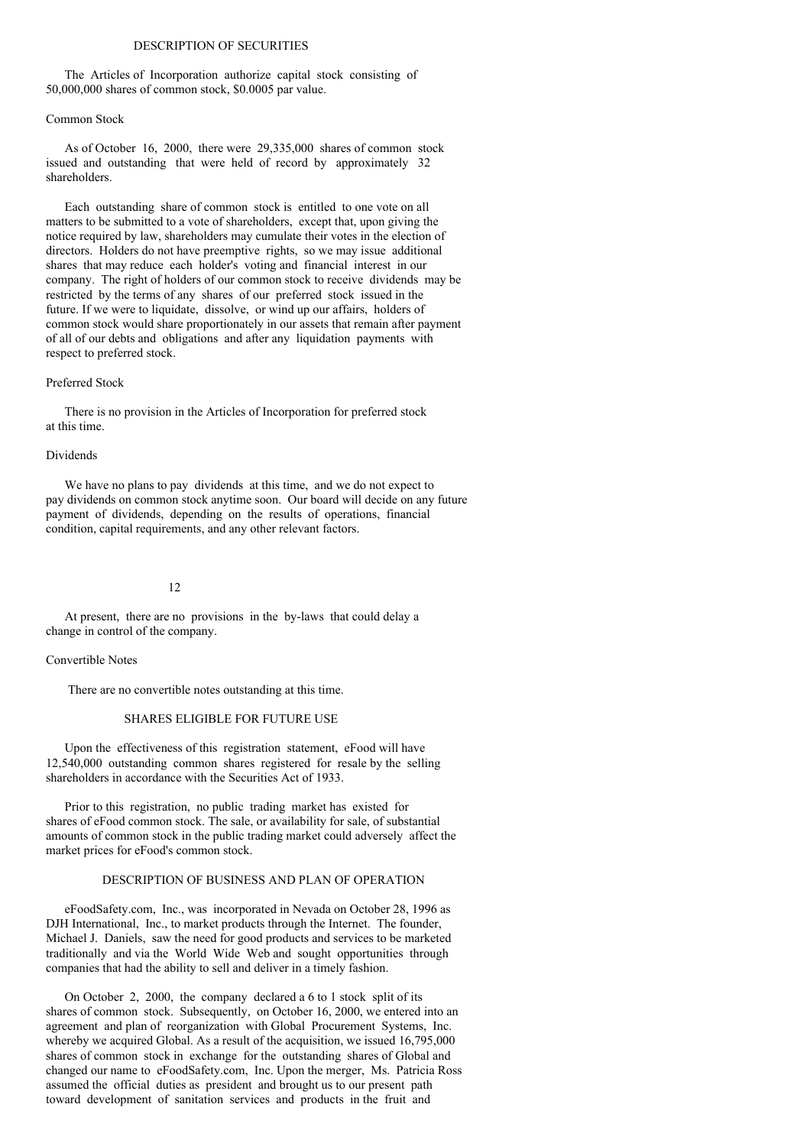### DESCRIPTION OF SECURITIES

The Articles of Incorporation authorize capital stock consisting of 50,000,000 shares of common stock, \$0.0005 par value.

### Common Stock

As of October 16, 2000, there were 29,335,000 shares of common stock issued and outstanding that were held of record by approximately 32 shareholders.

Each outstanding share of common stock is entitled to one vote on all matters to be submitted to a vote of shareholders, except that, upon giving the notice required by law, shareholders may cumulate their votes in the election of directors. Holders do not have preemptive rights, so we may issue additional shares that may reduce each holder's voting and financial interest in our company. The right of holders of our common stock to receive dividends may be restricted by the terms of any shares of our preferred stock issued in the future. If we were to liquidate, dissolve, or wind up our affairs, holders of common stock would share proportionately in our assets that remain after payment of all of our debts and obligations and after any liquidation payments with respect to preferred stock.

## Preferred Stock

There is no provision in the Articles of Incorporation for preferred stock at this time.

# Dividends

We have no plans to pay dividends at this time, and we do not expect to pay dividends on common stock anytime soon. Our board will decide on any future payment of dividends, depending on the results of operations, financial condition, capital requirements, and any other relevant factors.

### 12

At present, there are no provisions in the by-laws that could delay a change in control of the company.

### Convertible Notes

There are no convertible notes outstanding at this time.

## SHARES ELIGIBLE FOR FUTURE USE

Upon the effectiveness of this registration statement, eFood will have 12,540,000 outstanding common shares registered for resale by the selling shareholders in accordance with the Securities Act of 1933.

Prior to this registration, no public trading market has existed for shares of eFood common stock. The sale, or availability for sale, of substantial amounts of common stock in the public trading market could adversely affect the market prices for eFood's common stock.

### DESCRIPTION OF BUSINESS AND PLAN OF OPERATION

eFoodSafety.com, Inc., was incorporated in Nevada on October 28, 1996 as DJH International, Inc., to market products through the Internet. The founder, Michael J. Daniels, saw the need for good products and services to be marketed traditionally and via the World Wide Web and sought opportunities through companies that had the ability to sell and deliver in a timely fashion.

On October 2, 2000, the company declared a 6 to 1 stock split of its shares of common stock. Subsequently, on October 16, 2000, we entered into an agreement and plan of reorganization with Global Procurement Systems, Inc. whereby we acquired Global. As a result of the acquisition, we issued 16,795,000 shares of common stock in exchange for the outstanding shares of Global and changed our name to eFoodSafety.com, Inc. Upon the merger, Ms. Patricia Ross assumed the official duties as president and brought us to our present path toward development of sanitation services and products in the fruit and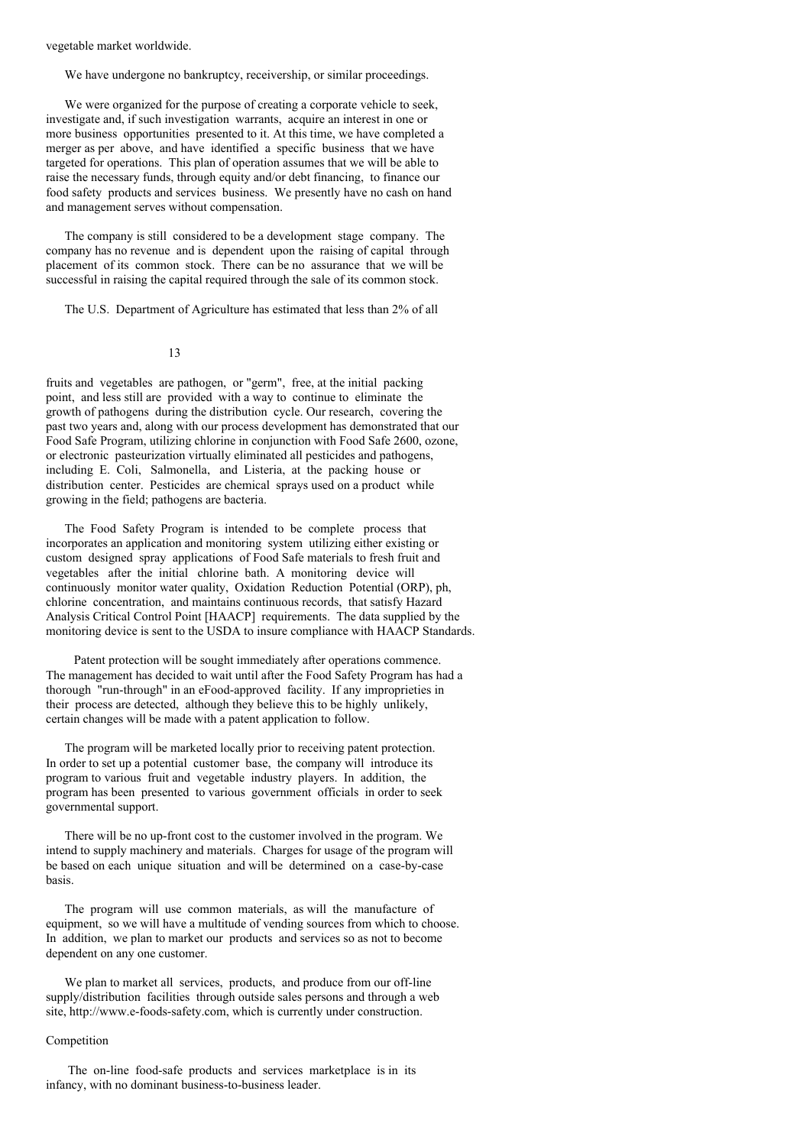vegetable market worldwide.

We have undergone no bankruptcy, receivership, or similar proceedings.

We were organized for the purpose of creating a corporate vehicle to seek. investigate and, if such investigation warrants, acquire an interest in one or more business opportunities presented to it. At this time, we have completed a merger as per above, and have identified a specific business that we have targeted for operations. This plan of operation assumes that we will be able to raise the necessary funds, through equity and/or debt financing, to finance our food safety products and services business. We presently have no cash on hand and management serves without compensation.

The company is still considered to be a development stage company. The company has no revenue and is dependent upon the raising of capital through placement of its common stock. There can be no assurance that we will be successful in raising the capital required through the sale of its common stock.

The U.S. Department of Agriculture has estimated that less than 2% of all

## 13

fruits and vegetables are pathogen, or "germ", free, at the initial packing point, and less still are provided with a way to continue to eliminate the growth of pathogens during the distribution cycle. Our research, covering the past two years and, along with our process development has demonstrated that our Food Safe Program, utilizing chlorine in conjunction with Food Safe 2600, ozone, or electronic pasteurization virtually eliminated all pesticides and pathogens, including E. Coli, Salmonella, and Listeria, at the packing house or distribution center. Pesticides are chemical sprays used on a product while growing in the field; pathogens are bacteria.

The Food Safety Program is intended to be complete process that incorporates an application and monitoring system utilizing either existing or custom designed spray applications of Food Safe materials to fresh fruit and vegetables after the initial chlorine bath. A monitoring device will continuously monitor water quality, Oxidation Reduction Potential (ORP), ph, chlorine concentration, and maintains continuous records, that satisfy Hazard Analysis Critical Control Point [HAACP] requirements. The data supplied by the monitoring device is sent to the USDA to insure compliance with HAACP Standards.

Patent protection will be sought immediately after operations commence. The management has decided to wait until after the Food Safety Program has had a thorough "run-through" in an eFood-approved facility. If any improprieties in their process are detected, although they believe this to be highly unlikely, certain changes will be made with a patent application to follow.

The program will be marketed locally prior to receiving patent protection. In order to set up a potential customer base, the company will introduce its program to various fruit and vegetable industry players. In addition, the program has been presented to various government officials in order to seek governmental support.

There will be no up-front cost to the customer involved in the program. We intend to supply machinery and materials. Charges for usage of the program will be based on each unique situation and will be determined on a case-by-case basis.

The program will use common materials, as will the manufacture of equipment, so we will have a multitude of vending sources from which to choose. In addition, we plan to market our products and services so as not to become dependent on any one customer.

We plan to market all services, products, and produce from our off-line supply/distribution facilities through outside sales persons and through a web site, http://www.e-foods-safety.com, which is currently under construction.

### Competition

The on-line food-safe products and services marketplace is in its infancy, with no dominant business-to-business leader.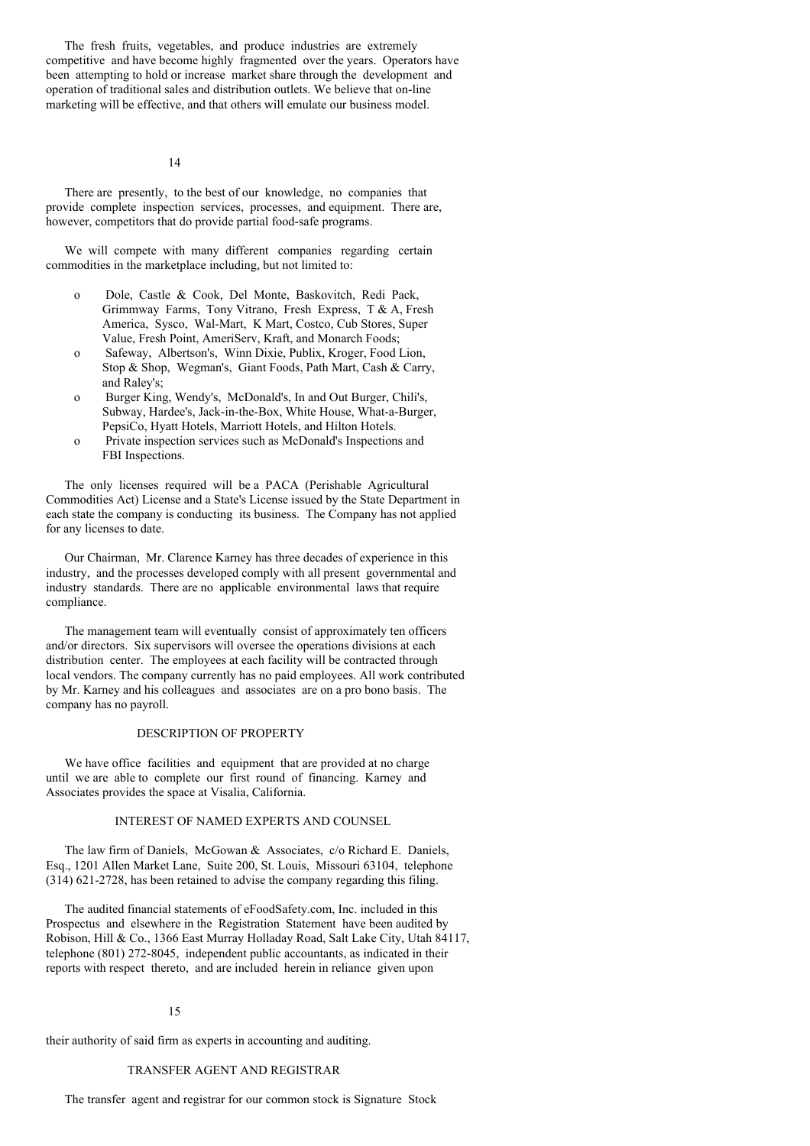The fresh fruits, vegetables, and produce industries are extremely competitive and have become highly fragmented over the years. Operators have been attempting to hold or increase market share through the development and operation of traditional sales and distribution outlets. We believe that on-line marketing will be effective, and that others will emulate our business model.

14

There are presently, to the best of our knowledge, no companies that provide complete inspection services, processes, and equipment. There are, however, competitors that do provide partial food-safe programs.

We will compete with many different companies regarding certain commodities in the marketplace including, but not limited to:

- o Dole, Castle & Cook, Del Monte, Baskovitch, Redi Pack, Grimmway Farms, Tony Vitrano, Fresh Express, T & A, Fresh America, Sysco, Wal-Mart, K Mart, Costco, Cub Stores, Super Value, Fresh Point, AmeriServ, Kraft, and Monarch Foods;
- o Safeway, Albertson's, Winn Dixie, Publix, Kroger, Food Lion, Stop & Shop, Wegman's, Giant Foods, Path Mart, Cash & Carry, and Raley's;
- o Burger King, Wendy's, McDonald's, In and Out Burger, Chili's, Subway, Hardee's, Jack-in-the-Box, White House, What-a-Burger, PepsiCo, Hyatt Hotels, Marriott Hotels, and Hilton Hotels.
- o Private inspection services such as McDonald's Inspections and FBI Inspections.

The only licenses required will be a PACA (Perishable Agricultural Commodities Act) License and a State's License issued by the State Department in each state the company is conducting its business. The Company has not applied for any licenses to date.

Our Chairman, Mr. Clarence Karney has three decades of experience in this industry, and the processes developed comply with all present governmental and industry standards. There are no applicable environmental laws that require compliance.

The management team will eventually consist of approximately ten officers and/or directors. Six supervisors will oversee the operations divisions at each distribution center. The employees at each facility will be contracted through local vendors. The company currently has no paid employees. All work contributed by Mr. Karney and his colleagues and associates are on a pro bono basis. The company has no payroll.

## DESCRIPTION OF PROPERTY

We have office facilities and equipment that are provided at no charge until we are able to complete our first round of financing. Karney and Associates provides the space at Visalia, California.

### INTEREST OF NAMED EXPERTS AND COUNSEL

The law firm of Daniels, McGowan & Associates, c/o Richard E. Daniels, Esq., 1201 Allen Market Lane, Suite 200, St. Louis, Missouri 63104, telephone (314) 621-2728, has been retained to advise the company regarding this filing.

The audited financial statements of eFoodSafety.com, Inc. included in this Prospectus and elsewhere in the Registration Statement have been audited by Robison, Hill & Co., 1366 East Murray Holladay Road, Salt Lake City, Utah 84117, telephone (801) 272-8045, independent public accountants, as indicated in their reports with respect thereto, and are included herein in reliance given upon

### 15

their authority of said firm as experts in accounting and auditing.

# TRANSFER AGENT AND REGISTRAR

The transfer agent and registrar for our common stock is Signature Stock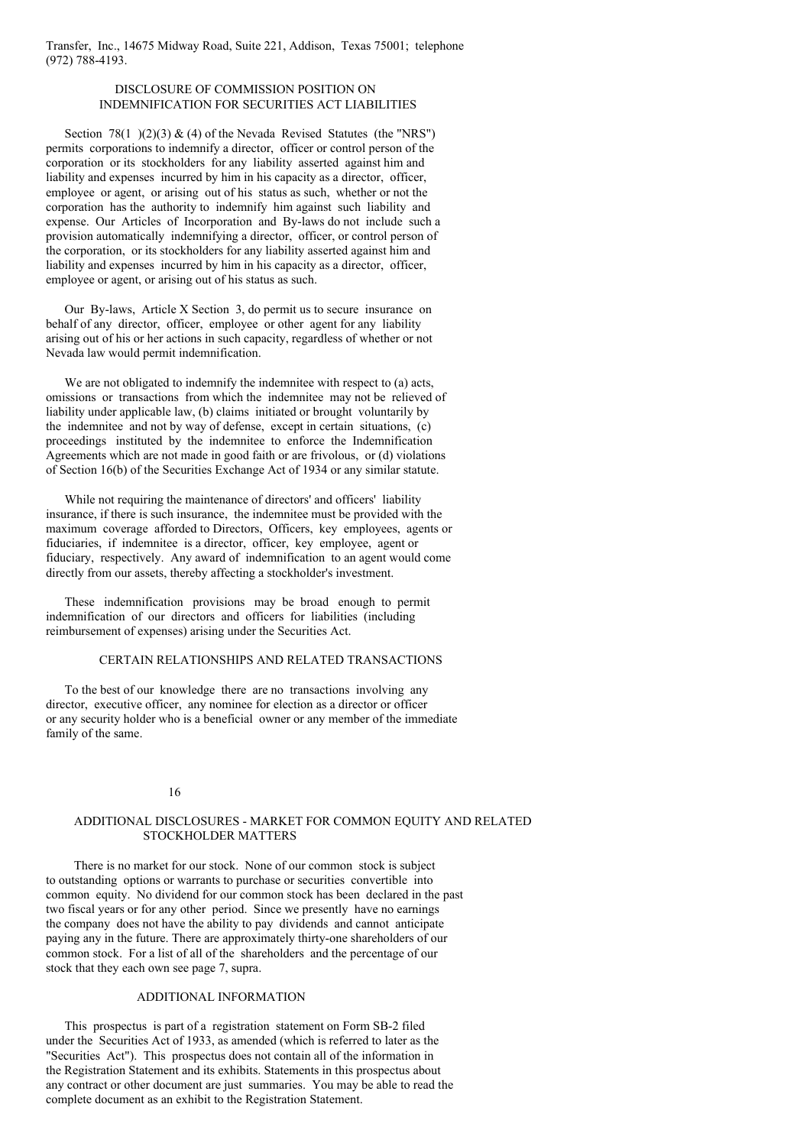Transfer, Inc., 14675 Midway Road, Suite 221, Addison, Texas 75001; telephone (972) 788-4193.

# DISCLOSURE OF COMMISSION POSITION ON INDEMNIFICATION FOR SECURITIES ACT LIABILITIES

Section 78(1 )(2)(3) & (4) of the Nevada Revised Statutes (the "NRS") permits corporations to indemnify a director, officer or control person of the corporation or its stockholders for any liability asserted against him and liability and expenses incurred by him in his capacity as a director, officer, employee or agent, or arising out of his status as such, whether or not the corporation has the authority to indemnify him against such liability and expense. Our Articles of Incorporation and By-laws do not include such a provision automatically indemnifying a director, officer, or control person of the corporation, or its stockholders for any liability asserted against him and liability and expenses incurred by him in his capacity as a director, officer, employee or agent, or arising out of his status as such.

Our By-laws, Article X Section 3, do permit us to secure insurance on behalf of any director, officer, employee or other agent for any liability arising out of his or her actions in such capacity, regardless of whether or not Nevada law would permit indemnification.

We are not obligated to indemnify the indemnitee with respect to (a) acts, omissions or transactions from which the indemnitee may not be relieved of liability under applicable law, (b) claims initiated or brought voluntarily by the indemnitee and not by way of defense, except in certain situations, (c) proceedings instituted by the indemnitee to enforce the Indemnification Agreements which are not made in good faith or are frivolous, or (d) violations of Section 16(b) of the Securities Exchange Act of 1934 or any similar statute.

While not requiring the maintenance of directors' and officers' liability insurance, if there is such insurance, the indemnitee must be provided with the maximum coverage afforded to Directors, Officers, key employees, agents or fiduciaries, if indemnitee is a director, officer, key employee, agent or fiduciary, respectively. Any award of indemnification to an agent would come directly from our assets, thereby affecting a stockholder's investment.

These indemnification provisions may be broad enough to permit indemnification of our directors and officers for liabilities (including reimbursement of expenses) arising under the Securities Act.

### CERTAIN RELATIONSHIPS AND RELATED TRANSACTIONS

To the best of our knowledge there are no transactions involving any director, executive officer, any nominee for election as a director or officer or any security holder who is a beneficial owner or any member of the immediate family of the same.

#### 16

## ADDITIONAL DISCLOSURES - MARKET FOR COMMON EQUITY AND RELATED STOCKHOLDER MATTERS

There is no market for our stock. None of our common stock is subject to outstanding options or warrants to purchase or securities convertible into common equity. No dividend for our common stock has been declared in the past two fiscal years or for any other period. Since we presently have no earnings the company does not have the ability to pay dividends and cannot anticipate paying any in the future. There are approximately thirty-one shareholders of our common stock. For a list of all of the shareholders and the percentage of our stock that they each own see page 7, supra.

## ADDITIONAL INFORMATION

This prospectus is part of a registration statement on Form SB-2 filed under the Securities Act of 1933, as amended (which is referred to later as the "Securities Act"). This prospectus does not contain all of the information in the Registration Statement and its exhibits. Statements in this prospectus about any contract or other document are just summaries. You may be able to read the complete document as an exhibit to the Registration Statement.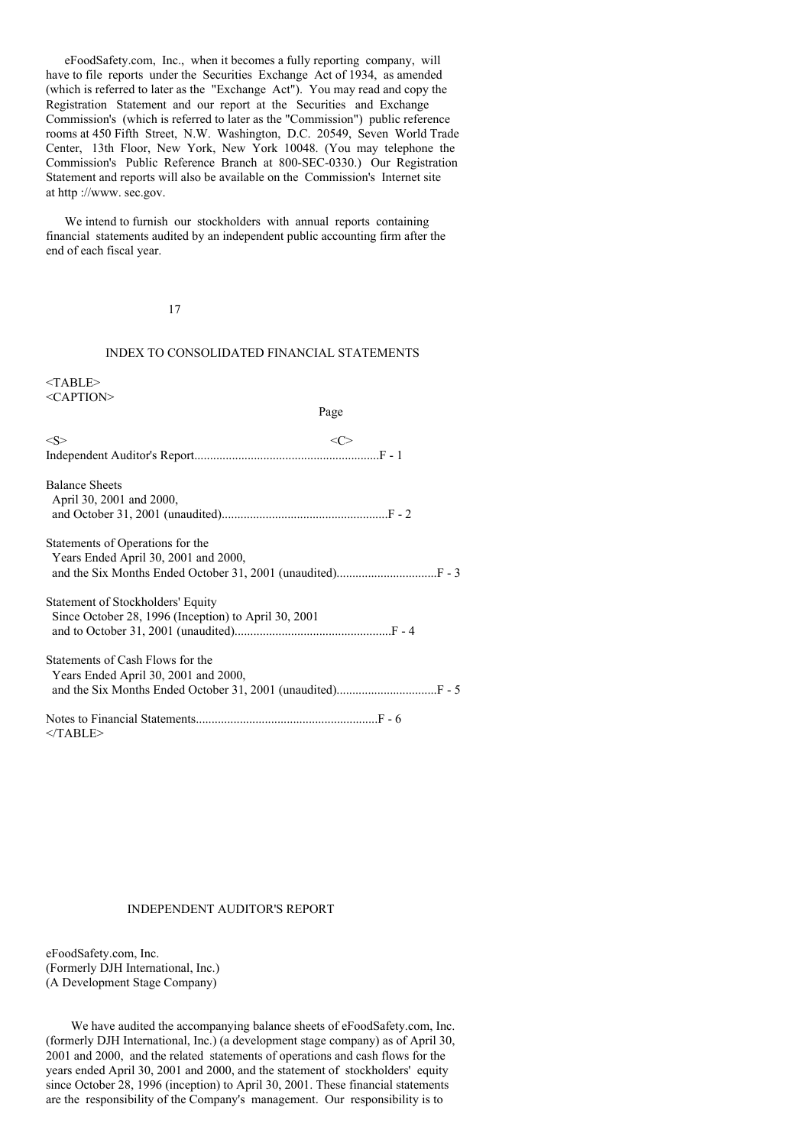eFoodSafety.com, Inc., when it becomes a fully reporting company, will have to file reports under the Securities Exchange Act of 1934, as amended (which is referred to later as the "Exchange Act"). You may read and copy the Registration Statement and our report at the Securities and Exchange Commission's (which is referred to later as the "Commission") public reference rooms at 450 Fifth Street, N.W. Washington, D.C. 20549, Seven World Trade Center, 13th Floor, New York, New York 10048. (You may telephone the Commission's Public Reference Branch at 800-SEC-0330.) Our Registration Statement and reports will also be available on the Commission's Internet site at http ://www. sec.gov.

We intend to furnish our stockholders with annual reports containing financial statements audited by an independent public accounting firm after the end of each fiscal year.

17

## INDEX TO CONSOLIDATED FINANCIAL STATEMENTS

<TABLE> <CAPTION>

#### Page

| < S >                                             |  |
|---------------------------------------------------|--|
|                                                   |  |
| <b>Balance Sheets</b><br>April 30, 2001 and 2000, |  |
| Statements of Operations for the                  |  |

| $\sigma$ or $\sigma$ or $\sigma$ of $\sigma$ or $\sigma$ and $\sigma$ |  |
|-----------------------------------------------------------------------|--|
| Years Ended April 30, 2001 and 2000,                                  |  |
|                                                                       |  |

| Statement of Stockholders' Equity                    |  |
|------------------------------------------------------|--|
| Since October 28, 1996 (Inception) to April 30, 2001 |  |
|                                                      |  |

| Statements of Cash Flows for the     |  |
|--------------------------------------|--|
| Years Ended April 30, 2001 and 2000, |  |
|                                      |  |

Notes to Financial Statements..........................................................F - 6 </TABLE>

#### INDEPENDENT AUDITOR'S REPORT

eFoodSafety.com, Inc. (Formerly DJH International, Inc.) (A Development Stage Company)

We have audited the accompanying balance sheets of eFoodSafety.com, Inc. (formerly DJH International, Inc.) (a development stage company) as of April 30, 2001 and 2000, and the related statements of operations and cash flows for the years ended April 30, 2001 and 2000, and the statement of stockholders' equity since October 28, 1996 (inception) to April 30, 2001. These financial statements are the responsibility of the Company's management. Our responsibility is to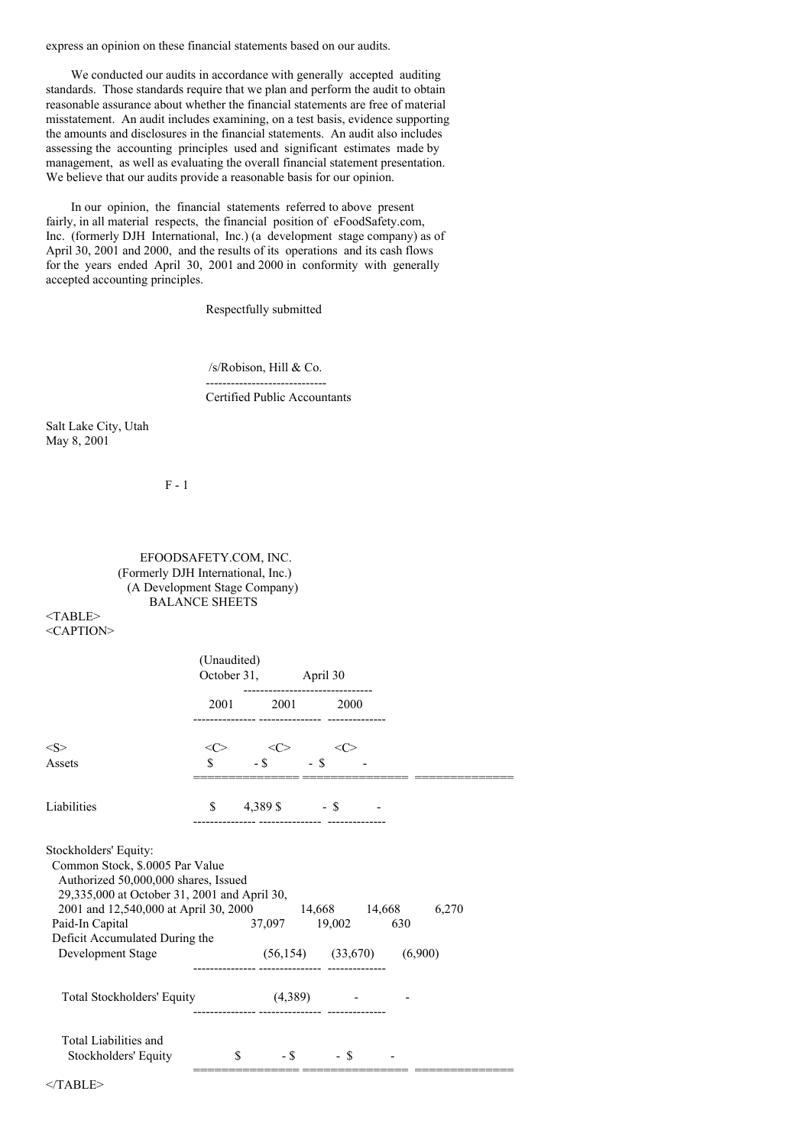express an opinion on these financial statements based on our audits.

We conducted our audits in accordance with generally accepted auditing standards. Those standards require that we plan and perform the audit to obtain reasonable assurance about whether the financial statements are free of material misstatement. An audit includes examining, on a test basis, evidence supporting the amounts and disclosures in the financial statements. An audit also includes assessing the accounting principles used and significant estimates made by management, as well as evaluating the overall financial statement presentation. We believe that our audits provide a reasonable basis for our opinion.

In our opinion, the financial statements referred to above present fairly, in all material respects, the financial position of eFoodSafety.com, Inc. (formerly DJH International, Inc.) (a development stage company) as of April 30, 2001 and 2000, and the results of its operations and its cash flows for the years ended April 30, 2001 and 2000 in conformity with generally accepted accounting principles.

Respectfully submitted

/s/Robison, Hill & Co. -----------------------------

Certified Public Accountants

Salt Lake City, Utah May 8, 2001

F - 1

# EFOODSAFETY.COM, INC. (Formerly DJH International, Inc.) (A Development Stage Company) BALANCE SHEETS

<TABLE> <CAPTION>

|                                                                                                                                                                                                                                                                                         | (Unaudited) | October 31, April 30                                   |        |                     |     |  |
|-----------------------------------------------------------------------------------------------------------------------------------------------------------------------------------------------------------------------------------------------------------------------------------------|-------------|--------------------------------------------------------|--------|---------------------|-----|--|
|                                                                                                                                                                                                                                                                                         |             | 2001 2001 2000<br>--------- --------------- ---------- |        |                     |     |  |
| < S ><br>Assets                                                                                                                                                                                                                                                                         | <<>         | $\langle C \rangle$                                    | $-$ \$ | $\langle C \rangle$ |     |  |
|                                                                                                                                                                                                                                                                                         |             |                                                        |        |                     |     |  |
| Liabilities                                                                                                                                                                                                                                                                             |             | $$ 4,389\$ - \$                                        |        |                     |     |  |
| Stockholders' Equity:<br>Common Stock, \$.0005 Par Value<br>Authorized 50,000,000 shares, Issued<br>29,335,000 at October 31, 2001 and April 30,<br>2001 and 12,540,000 at April 30, 2000 14,668 14,668 6,270<br>Paid-In Capital<br>Deficit Accumulated During the<br>Development Stage |             | 37,097 19,002<br>$(56,154)$ $(33,670)$ $(6,900)$       |        |                     | 630 |  |
| Total Stockholders' Equity (4,389) -                                                                                                                                                                                                                                                    |             |                                                        |        |                     |     |  |
| Total Liabilities and<br>Stockholders' Equity                                                                                                                                                                                                                                           | \$          | $-S$ - S                                               |        |                     |     |  |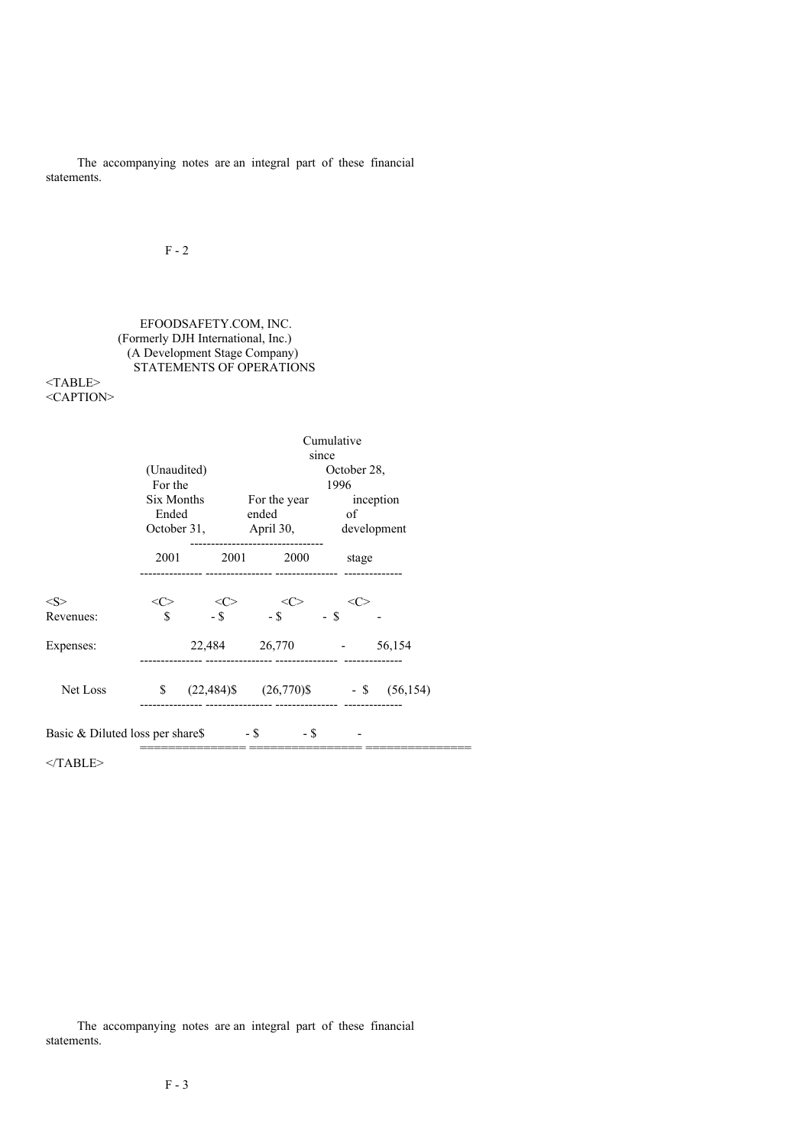The accompanying notes are an integral part of these financial statements.

# $F - 2$

# EFOODSAFETY.COM, INC. (Formerly DJH International, Inc.) (A Development Stage Company) STATEMENTS OF OPERATIONS

## <TABLE> <CAPTION>

|                                                      | Cumulative         |                          |                 |                                             |  |  |  |  |
|------------------------------------------------------|--------------------|--------------------------|-----------------|---------------------------------------------|--|--|--|--|
|                                                      | since              |                          |                 |                                             |  |  |  |  |
|                                                      | (Unaudited)        |                          |                 | October 28,                                 |  |  |  |  |
|                                                      | For the            |                          |                 | 1996                                        |  |  |  |  |
|                                                      | Six Months         |                          |                 | For the year inception                      |  |  |  |  |
|                                                      | Ended              |                          | ended           | of                                          |  |  |  |  |
|                                                      |                    |                          |                 | October 31, April 30, development           |  |  |  |  |
|                                                      | 2001               | 2001                     | 2000            | stage                                       |  |  |  |  |
|                                                      |                    |                          |                 |                                             |  |  |  |  |
| $<\!\!S\!\!>$                                        | <c></c>            | $\langle C \rangle$ - \$ | <<>             | <c></c>                                     |  |  |  |  |
| Revenues:                                            | $\mathbf{\hat{S}}$ |                          | $-$ \$          | - \$                                        |  |  |  |  |
| Expenses:                                            |                    |                          | 22,484 26,770 - | 56,154                                      |  |  |  |  |
| Net Loss                                             | \$                 |                          |                 | $(22,484)$ \$ $(26,770)$ \$ - \$ $(56,154)$ |  |  |  |  |
| Basic & Diluted loss per share $\$\$ - $\$\$ - $\$\$ |                    |                          |                 |                                             |  |  |  |  |
|                                                      |                    |                          |                 |                                             |  |  |  |  |

 $<$ /TABLE>

The accompanying notes are an integral part of these financial statements.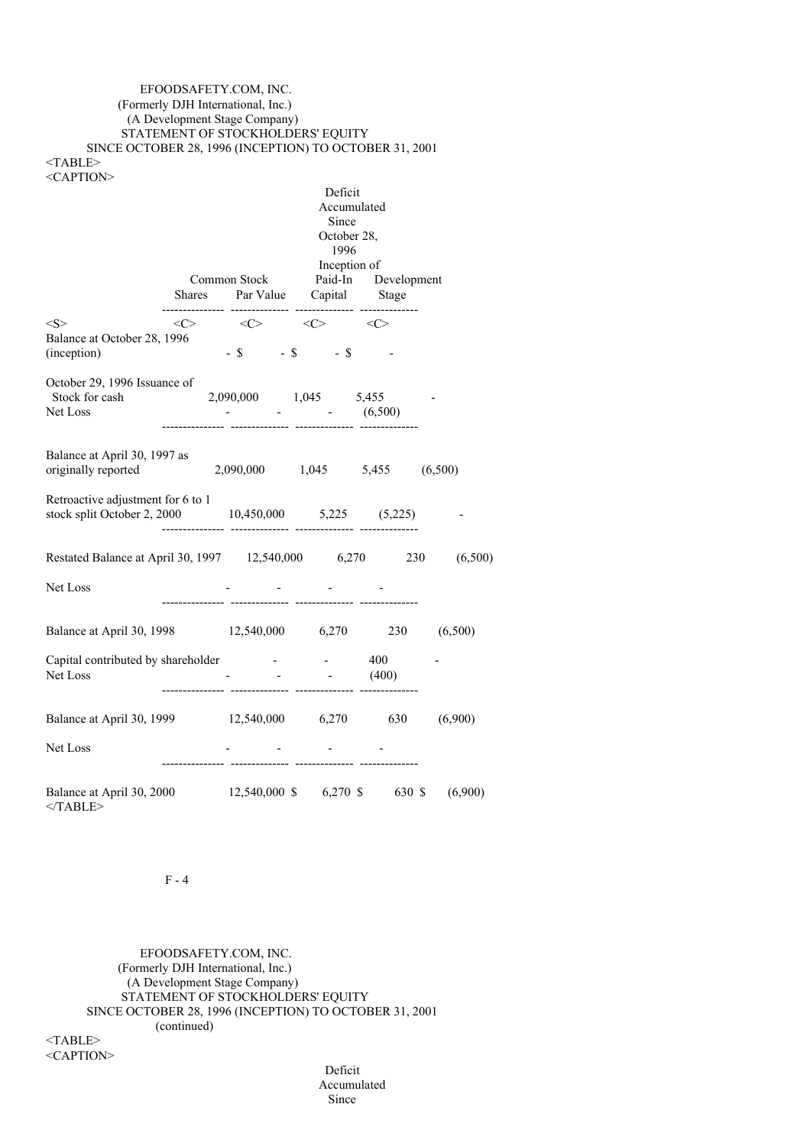## EFOODSAFETY.COM, INC. (Formerly DJH International, Inc.) (A Development Stage Company) STATEMENT OF STOCKHOLDERS' EQUITY SINCE OCTOBER 28, 1996 (INCEPTION) TO OCTOBER 31, 2001 <TABLE> <CAPTION>

Deficit Accumulated Since October 28, 1996 Inception of Common Stock Paid-In Development Shares Par Value Capital Stage --------------- -------------- -------------- --------------  $\langle S \rangle$   $\langle C \rangle$   $\langle C \rangle$   $\langle C \rangle$   $\langle C \rangle$ Balance at October 28, 1996  $(inception)$  - \$ - \$ - \$ October 29, 1996 Issuance of Stock for cash 2,090,000 1,045 5,455<br>Net Loss - (6,50 Net Loss - - (6,500) --------------- -------------- -------------- -------------- Balance at April 30, 1997 as originally reported 2,090,000 1,045 5,455 (6,500) Retroactive adjustment for 6 to 1 stock split October 2, 2000 10,450,000 5,225 (5,225) --------------- -------------- -------------- -------------- Restated Balance at April 30, 1997 12,540,000 6,270 230 (6,500) Net Loss and the set of the set of the set of the set of the set of the set of the set of the set of the set of the set of the set of the set of the set of the set of the set of the set of the set of the set of the set of --------------- -------------- -------------- -------------- Balance at April 30, 1998 12,540,000 6,270 230 (6,500) Capital contributed by shareholder - - 400 Net Loss (400) --------------- -------------- -------------- -------------- Balance at April 30, 1999 12,540,000 6,270 630 (6,900) Net Loss  $\qquad \qquad$  -  $\qquad \qquad$  ---------------- -------------- -------------- -------------- Balance at April 30, 2000 12,540,000 \$ 6,270 \$ 630 \$ (6,900)  $<$ /TABLE>

 $F - 4$ 

EFOODSAFETY.COM, INC. (Formerly DJH International, Inc.) (A Development Stage Company) STATEMENT OF STOCKHOLDERS' EQUITY SINCE OCTOBER 28, 1996 (INCEPTION) TO OCTOBER 31, 2001 (continued) <TABLE>

<CAPTION>

Deficit Accumulated Since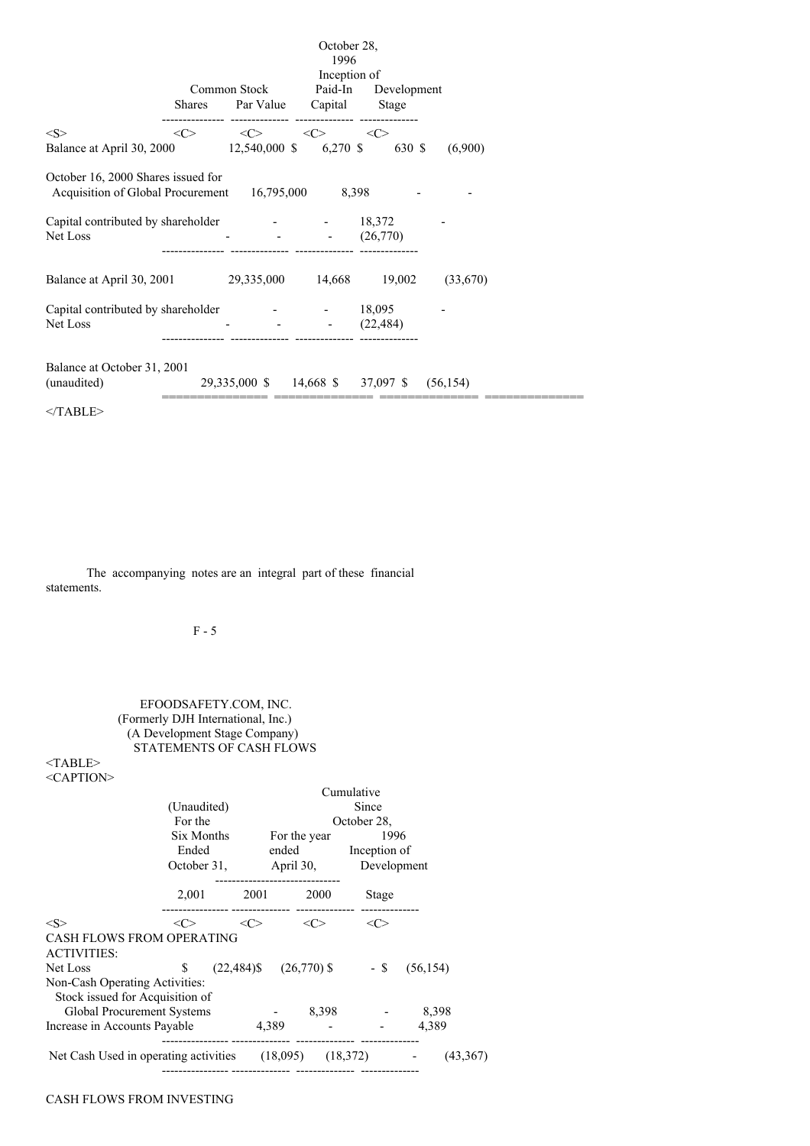|                                                                                          | October 28,<br>1996<br>Inception of |                               |                                                 |                                            |         |  |  |  |
|------------------------------------------------------------------------------------------|-------------------------------------|-------------------------------|-------------------------------------------------|--------------------------------------------|---------|--|--|--|
|                                                                                          | <b>Shares</b>                       | Common Stock                  | Par Value Capital                               | Paid-In Development<br>Stage               |         |  |  |  |
| < S ><br>Balance at April 30, 2000 12,540,000 \$ 6,270 \$                                | <<>                                 |                               | $\langle \zeta \rangle$ $\langle \zeta \rangle$ | <<><br>630 \$                              | (6,900) |  |  |  |
| October 16, 2000 Shares issued for<br>Acquisition of Global Procurement 16,795,000 8,398 |                                     |                               |                                                 |                                            |         |  |  |  |
| Capital contributed by shareholder - 18,372<br>Net Loss                                  |                                     |                               |                                                 | (26,770)                                   |         |  |  |  |
| Balance at April 30, 2001 29, 335, 000 14, 668 19, 002 (33, 670)                         |                                     |                               |                                                 |                                            |         |  |  |  |
| Capital contributed by shareholder<br>Net Loss                                           |                                     | and the state of the state of | and the company of the company                  | 18,095<br>(22, 484)                        |         |  |  |  |
| Balance at October 31, 2001<br>(unaudited)                                               |                                     |                               |                                                 | 29,335,000 \$ 14,668 \$ 37,097 \$ (56,154) |         |  |  |  |
| $<$ TABLE>                                                                               |                                     |                               |                                                 |                                            |         |  |  |  |

The accompanying notes are an integral part of these financial statements.

# F - 5

# EFOODSAFETY.COM, INC. (Formerly DJH International, Inc.) (A Development Stage Company) STATEMENTS OF CASH FLOWS

# $<$ TABLE> <CAPTION>

|                                                                   | (Unaudited)<br>For the<br>Six Months<br>Ended<br>October 31, |                     | Cumulative<br>Since<br>October 28,<br>1996<br>For the year<br>ended Inception of<br>April 30, Development |       |           |  |  |
|-------------------------------------------------------------------|--------------------------------------------------------------|---------------------|-----------------------------------------------------------------------------------------------------------|-------|-----------|--|--|
|                                                                   | 2,001                                                        |                     | 2001 2000                                                                                                 | Stage |           |  |  |
| $<\!\!S\!\!>$                                                     | $<\!\!C\!\!>$                                                | $\langle C \rangle$ | <<>                                                                                                       | <<>   |           |  |  |
| <b>CASH FLOWS FROM OPERATING</b><br><b>ACTIVITIES:</b>            |                                                              |                     |                                                                                                           |       |           |  |  |
| Net Loss                                                          | \$                                                           |                     | $(22,484)$ \$ $(26,770)$ \$ - \$                                                                          |       | (56, 154) |  |  |
| Non-Cash Operating Activities:<br>Stock issued for Acquisition of |                                                              |                     |                                                                                                           |       |           |  |  |
| Global Procurement Systems                                        |                                                              |                     | 8,398                                                                                                     |       | 8,398     |  |  |
| Increase in Accounts Payable                                      |                                                              | 4,389               |                                                                                                           |       | 4,389     |  |  |
| Net Cash Used in operating activities $(18,095)$ $(18,372)$       |                                                              |                     |                                                                                                           |       | (43,367)  |  |  |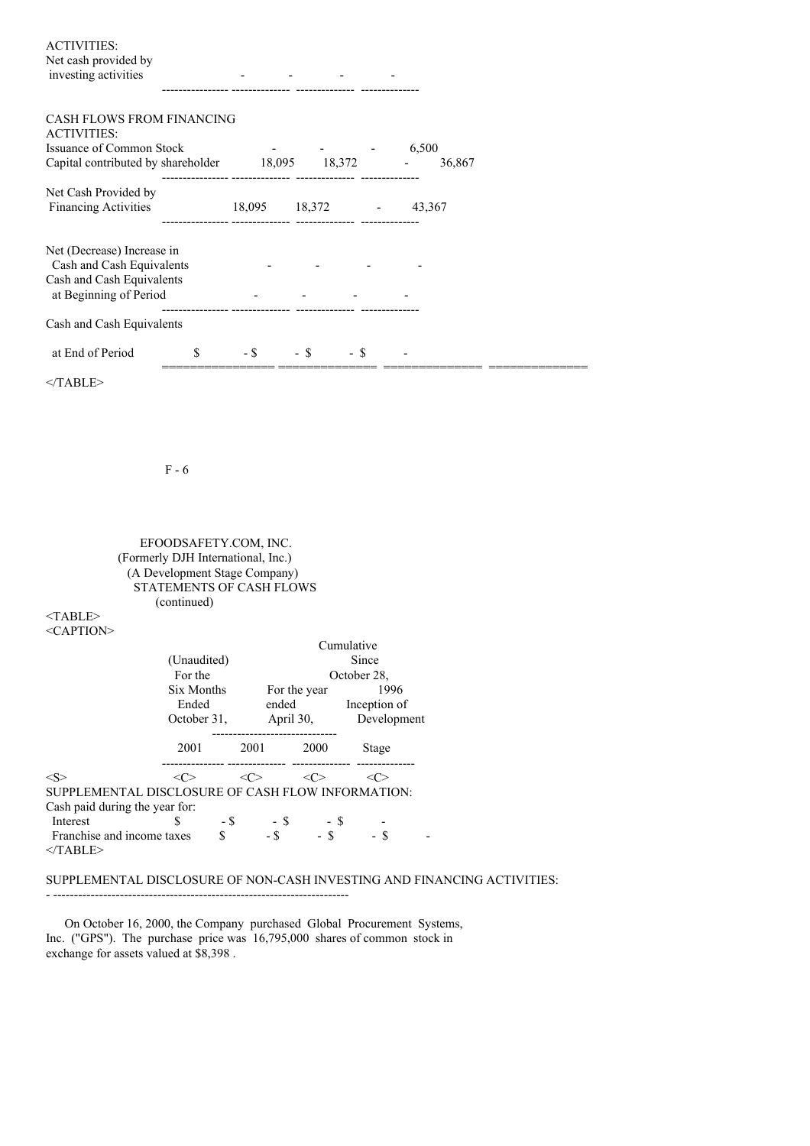| <b>ACTIVITIES:</b><br>Net cash provided by<br>investing activities | $\overline{\phantom{0}}$ |  | - |
|--------------------------------------------------------------------|--------------------------|--|---|
|                                                                    |                          |  |   |
| CARLI EL OWS EDOM EINANCING                                        |                          |  |   |

| UASH FLUWS FRUM FINANCING<br><b>ACTIVITIES:</b>         |   |        |        |        |        |  |
|---------------------------------------------------------|---|--------|--------|--------|--------|--|
| <b>Issuance of Common Stock</b>                         |   |        |        |        | 6,500  |  |
| Capital contributed by shareholder                      |   | 18,095 |        | 18,372 | 36,867 |  |
| Net Cash Provided by                                    |   |        |        |        |        |  |
| <b>Financing Activities</b>                             |   | 18,095 | 18,372 |        | 43,367 |  |
| Net (Decrease) Increase in<br>Cash and Cash Equivalents |   |        |        |        |        |  |
| Cash and Cash Equivalents<br>at Beginning of Period     |   |        |        |        |        |  |
| Cash and Cash Equivalents                               |   |        |        |        |        |  |
| at End of Period                                        | S | - \$   | - \$   | - \$   |        |  |
|                                                         |   |        |        |        |        |  |

 $<$ /TABLE>

F - 6

EFOODSAFETY.COM, INC. (Formerly DJH International, Inc.) (A Development Stage Company) STATEMENTS OF CASH FLOWS (continued)

<TABLE> <CAPTION>

|                                |                                                        |                       | Since                                  |                                                                                                             |
|--------------------------------|--------------------------------------------------------|-----------------------|----------------------------------------|-------------------------------------------------------------------------------------------------------------|
| For the                        |                                                        |                       |                                        |                                                                                                             |
|                                |                                                        |                       | 1996                                   |                                                                                                             |
| Ended                          |                                                        |                       |                                        |                                                                                                             |
|                                |                                                        |                       | Development                            |                                                                                                             |
| 2001                           |                                                        | 2000                  | Stage                                  |                                                                                                             |
| <்                             |                                                        | <<>                   | $\ll$                                  |                                                                                                             |
|                                |                                                        |                       |                                        |                                                                                                             |
| Cash paid during the year for: |                                                        |                       |                                        |                                                                                                             |
| S                              |                                                        |                       |                                        |                                                                                                             |
| Franchise and income taxes     | $-$ \$                                                 | $-$ \$                | - \$                                   |                                                                                                             |
|                                | (Unaudited)<br>Six Months<br>October 31,<br>- \$<br>\$ | 2001<br>$<\!\!C\!\!>$ | For the year<br>ended<br>$-$ \$ $-$ \$ | Cumulative<br>October 28,<br>Inception of<br>April 30,<br>SUPPLEMENTAL DISCLOSURE OF CASH FLOW INFORMATION: |

# SUPPLEMENTAL DISCLOSURE OF NON-CASH INVESTING AND FINANCING ACTIVITIES:

On October 16, 2000, the Company purchased Global Procurement Systems, Inc. ("GPS"). The purchase price was 16,795,000 shares of common stock in exchange for assets valued at \$8,398 .

- -----------------------------------------------------------------------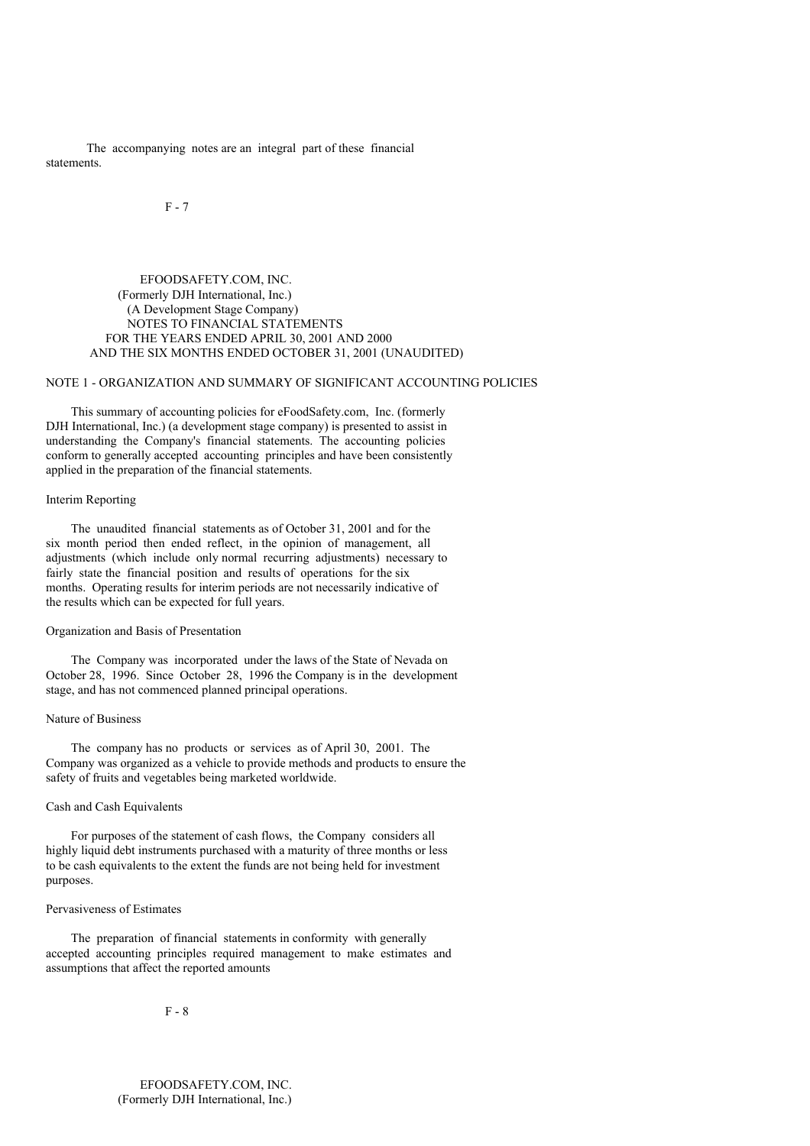The accompanying notes are an integral part of these financial statements.

F - 7

## EFOODSAFETY.COM, INC. (Formerly DJH International, Inc.) (A Development Stage Company) NOTES TO FINANCIAL STATEMENTS FOR THE YEARS ENDED APRIL 30, 2001 AND 2000 AND THE SIX MONTHS ENDED OCTOBER 31, 2001 (UNAUDITED)

## NOTE 1 - ORGANIZATION AND SUMMARY OF SIGNIFICANT ACCOUNTING POLICIES

This summary of accounting policies for eFoodSafety.com, Inc. (formerly DJH International, Inc.) (a development stage company) is presented to assist in understanding the Company's financial statements. The accounting policies conform to generally accepted accounting principles and have been consistently applied in the preparation of the financial statements.

## Interim Reporting

The unaudited financial statements as of October 31, 2001 and for the six month period then ended reflect, in the opinion of management, all adjustments (which include only normal recurring adjustments) necessary to fairly state the financial position and results of operations for the six months. Operating results for interim periods are not necessarily indicative of the results which can be expected for full years.

# Organization and Basis of Presentation

The Company was incorporated under the laws of the State of Nevada on October 28, 1996. Since October 28, 1996 the Company is in the development stage, and has not commenced planned principal operations.

## Nature of Business

The company has no products or services as of April 30, 2001. The Company was organized as a vehicle to provide methods and products to ensure the safety of fruits and vegetables being marketed worldwide.

### Cash and Cash Equivalents

For purposes of the statement of cash flows, the Company considers all highly liquid debt instruments purchased with a maturity of three months or less to be cash equivalents to the extent the funds are not being held for investment purposes.

### Pervasiveness of Estimates

The preparation of financial statements in conformity with generally accepted accounting principles required management to make estimates and assumptions that affect the reported amounts

F - 8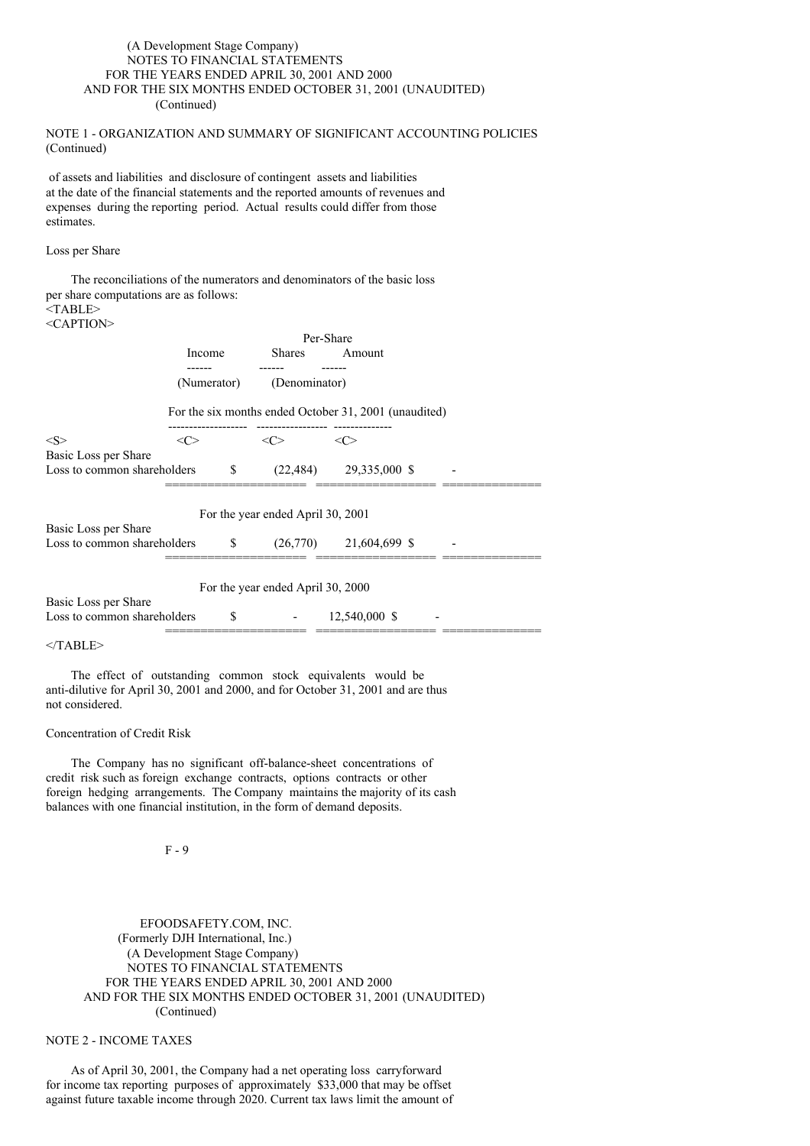## (A Development Stage Company) NOTES TO FINANCIAL STATEMENTS FOR THE YEARS ENDED APRIL 30, 2001 AND 2000 AND FOR THE SIX MONTHS ENDED OCTOBER 31, 2001 (UNAUDITED) (Continued)

## NOTE 1 - ORGANIZATION AND SUMMARY OF SIGNIFICANT ACCOUNTING POLICIES (Continued)

of assets and liabilities and disclosure of contingent assets and liabilities at the date of the financial statements and the reported amounts of revenues and expenses during the reporting period. Actual results could differ from those estimates.

### Loss per Share

|                                                        |             |     |                                   | The reconciliations of the numerators and denominators of the basic loss |  |
|--------------------------------------------------------|-------------|-----|-----------------------------------|--------------------------------------------------------------------------|--|
| per share computations are as follows:                 |             |     |                                   |                                                                          |  |
| $<$ TABLE>                                             |             |     |                                   |                                                                          |  |
| $<$ CAPTION>                                           |             |     |                                   |                                                                          |  |
|                                                        |             |     |                                   | Per-Share                                                                |  |
|                                                        | Income      |     | <b>Shares</b>                     | Amount                                                                   |  |
|                                                        | (Numerator) |     | (Denominator)                     |                                                                          |  |
|                                                        |             |     |                                   | For the six months ended October 31, 2001 (unaudited)                    |  |
| < S >                                                  | <<>         |     | <<>                               | $\langle C \rangle$                                                      |  |
| Basic Loss per Share                                   |             |     |                                   |                                                                          |  |
| Loss to common shareholders                            |             | S   |                                   | $(22,484)$ $29,335,000$ \$                                               |  |
|                                                        |             |     | For the year ended April 30, 2001 |                                                                          |  |
| Basic Loss per Share<br>Loss to common shareholders \$ |             |     |                                   | $(26,770)$ 21,604,699 \$                                                 |  |
|                                                        |             |     | For the year ended April 30, 2000 |                                                                          |  |
| Basic Loss per Share                                   |             |     |                                   |                                                                          |  |
| Loss to common shareholders                            |             | \$. |                                   | 12,540,000 \$                                                            |  |
|                                                        |             |     |                                   |                                                                          |  |

</TABLE>

The effect of outstanding common stock equivalents would be anti-dilutive for April 30, 2001 and 2000, and for October 31, 2001 and are thus not considered.

### Concentration of Credit Risk

The Company has no significant off-balance-sheet concentrations of credit risk such as foreign exchange contracts, options contracts or other foreign hedging arrangements. The Company maintains the majority of its cash balances with one financial institution, in the form of demand deposits.

F - 9

EFOODSAFETY.COM, INC. (Formerly DJH International, Inc.) (A Development Stage Company) NOTES TO FINANCIAL STATEMENTS FOR THE YEARS ENDED APRIL 30, 2001 AND 2000 AND FOR THE SIX MONTHS ENDED OCTOBER 31, 2001 (UNAUDITED) (Continued)

# NOTE 2 - INCOME TAXES

As of April 30, 2001, the Company had a net operating loss carryforward for income tax reporting purposes of approximately \$33,000 that may be offset against future taxable income through 2020. Current tax laws limit the amount of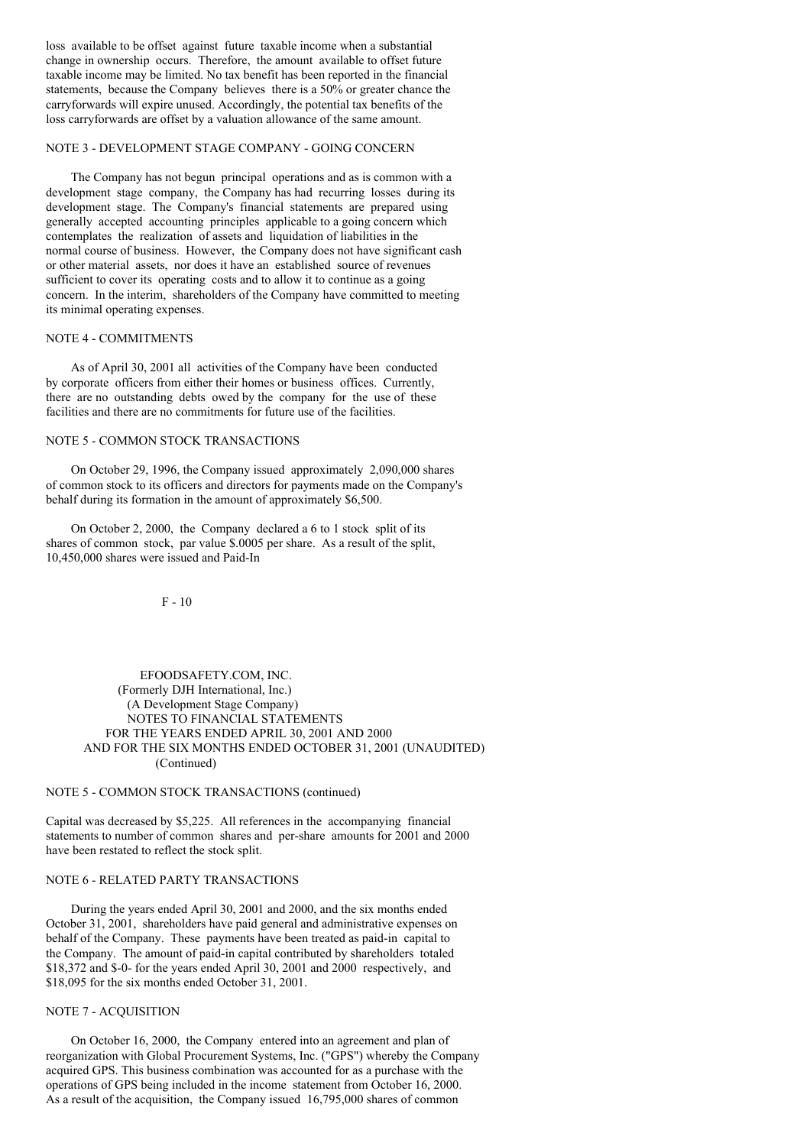loss available to be offset against future taxable income when a substantial change in ownership occurs. Therefore, the amount available to offset future taxable income may be limited. No tax benefit has been reported in the financial statements, because the Company believes there is a 50% or greater chance the carryforwards will expire unused. Accordingly, the potential tax benefits of the loss carryforwards are offset by a valuation allowance of the same amount.

# NOTE 3 - DEVELOPMENT STAGE COMPANY - GOING CONCERN

The Company has not begun principal operations and as is common with a development stage company, the Company has had recurring losses during its development stage. The Company's financial statements are prepared using generally accepted accounting principles applicable to a going concern which contemplates the realization of assets and liquidation of liabilities in the normal course of business. However, the Company does not have significant cash or other material assets, nor does it have an established source of revenues sufficient to cover its operating costs and to allow it to continue as a going concern. In the interim, shareholders of the Company have committed to meeting its minimal operating expenses.

### NOTE 4 - COMMITMENTS

As of April 30, 2001 all activities of the Company have been conducted by corporate officers from either their homes or business offices. Currently, there are no outstanding debts owed by the company for the use of these facilities and there are no commitments for future use of the facilities.

# NOTE 5 - COMMON STOCK TRANSACTIONS

On October 29, 1996, the Company issued approximately 2,090,000 shares of common stock to its officers and directors for payments made on the Company's behalf during its formation in the amount of approximately \$6,500.

On October 2, 2000, the Company declared a 6 to 1 stock split of its shares of common stock, par value \$.0005 per share. As a result of the split, 10,450,000 shares were issued and Paid-In

F - 10

## EFOODSAFETY.COM, INC. (Formerly DJH International, Inc.) (A Development Stage Company) NOTES TO FINANCIAL STATEMENTS FOR THE YEARS ENDED APRIL 30, 2001 AND 2000 AND FOR THE SIX MONTHS ENDED OCTOBER 31, 2001 (UNAUDITED) (Continued)

#### NOTE 5 - COMMON STOCK TRANSACTIONS (continued)

Capital was decreased by \$5,225. All references in the accompanying financial statements to number of common shares and per-share amounts for 2001 and 2000 have been restated to reflect the stock split.

#### NOTE 6 - RELATED PARTY TRANSACTIONS

During the years ended April 30, 2001 and 2000, and the six months ended October 31, 2001, shareholders have paid general and administrative expenses on behalf of the Company. These payments have been treated as paid-in capital to the Company. The amount of paid-in capital contributed by shareholders totaled \$18,372 and \$-0- for the years ended April 30, 2001 and 2000 respectively, and \$18,095 for the six months ended October 31, 2001.

## NOTE 7 - ACQUISITION

On October 16, 2000, the Company entered into an agreement and plan of reorganization with Global Procurement Systems, Inc. ("GPS") whereby the Company acquired GPS. This business combination was accounted for as a purchase with the operations of GPS being included in the income statement from October 16, 2000. As a result of the acquisition, the Company issued 16,795,000 shares of common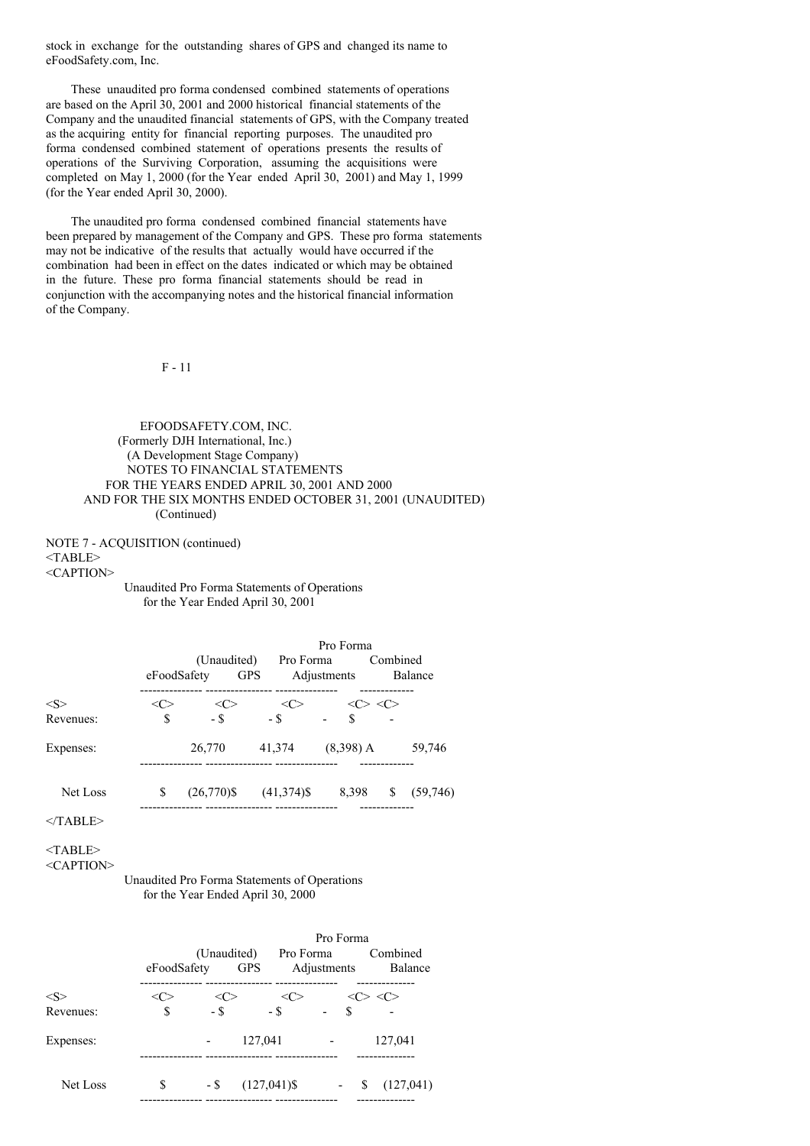stock in exchange for the outstanding shares of GPS and changed its name to eFoodSafety.com, Inc.

These unaudited pro forma condensed combined statements of operations are based on the April 30, 2001 and 2000 historical financial statements of the Company and the unaudited financial statements of GPS, with the Company treated as the acquiring entity for financial reporting purposes. The unaudited pro forma condensed combined statement of operations presents the results of operations of the Surviving Corporation, assuming the acquisitions were completed on May 1, 2000 (for the Year ended April 30, 2001) and May 1, 1999 (for the Year ended April 30, 2000).

The unaudited pro forma condensed combined financial statements have been prepared by management of the Company and GPS. These pro forma statements may not be indicative of the results that actually would have occurred if the combination had been in effect on the dates indicated or which may be obtained in the future. These pro forma financial statements should be read in conjunction with the accompanying notes and the historical financial information of the Company.

F - 11

EFOODSAFETY.COM, INC. (Formerly DJH International, Inc.) (A Development Stage Company) NOTES TO FINANCIAL STATEMENTS FOR THE YEARS ENDED APRIL 30, 2001 AND 2000 AND FOR THE SIX MONTHS ENDED OCTOBER 31, 2001 (UNAUDITED) (Continued)

NOTE 7 - ACQUISITION (continued) <TABLE> <CAPTION>

Unaudited Pro Forma Statements of Operations for the Year Ended April 30, 2001

|                       | eFoodSafety | (Unaudited)    | Pro Forma<br><b>GPS</b> | Pro Forma<br>Adjustments | Combined        | Balance  |
|-----------------------|-------------|----------------|-------------------------|--------------------------|-----------------|----------|
| $<\leq>$<br>Revenues: | \$          | <( ><br>$-$ \$ | <<<br>$-$ \$            | $\hat{\mathbf{S}}$       | $\ll >> \ll >>$ |          |
| Expenses:             |             | 26,770         | 41,374                  | $(8,398)$ A              |                 | 59,746   |
| Net Loss              | \$          | $(26,770)$ \$  | $(41,374)$ \$           | 8,398                    | \$              | (59,746) |

 $<$ /TABLE>

<TABLE>

# <CAPTION>

Unaudited Pro Forma Statements of Operations for the Year Ended April 30, 2000

|               |             | (Unaudited)   |                | Pro Forma<br>Pro Forma  | Combined       |
|---------------|-------------|---------------|----------------|-------------------------|----------------|
|               | eFoodSafety |               | <b>GPS</b>     | Adjustments             | Balance        |
| $<\!\!S\!\!>$ | <ι >        | $<\!\!C\!\!>$ | <<             | <<>                     | $\langle$ C>   |
| Revenues:     | \$          | $-$ \$        | $-$ \$         | $\overline{\mathbf{S}}$ |                |
| Expenses:     |             |               | 127,041        | $\blacksquare$          | 127,041        |
| Net Loss      | \$          | $-$ \$        | $(127,041)$ \$ |                         | S<br>(127,041) |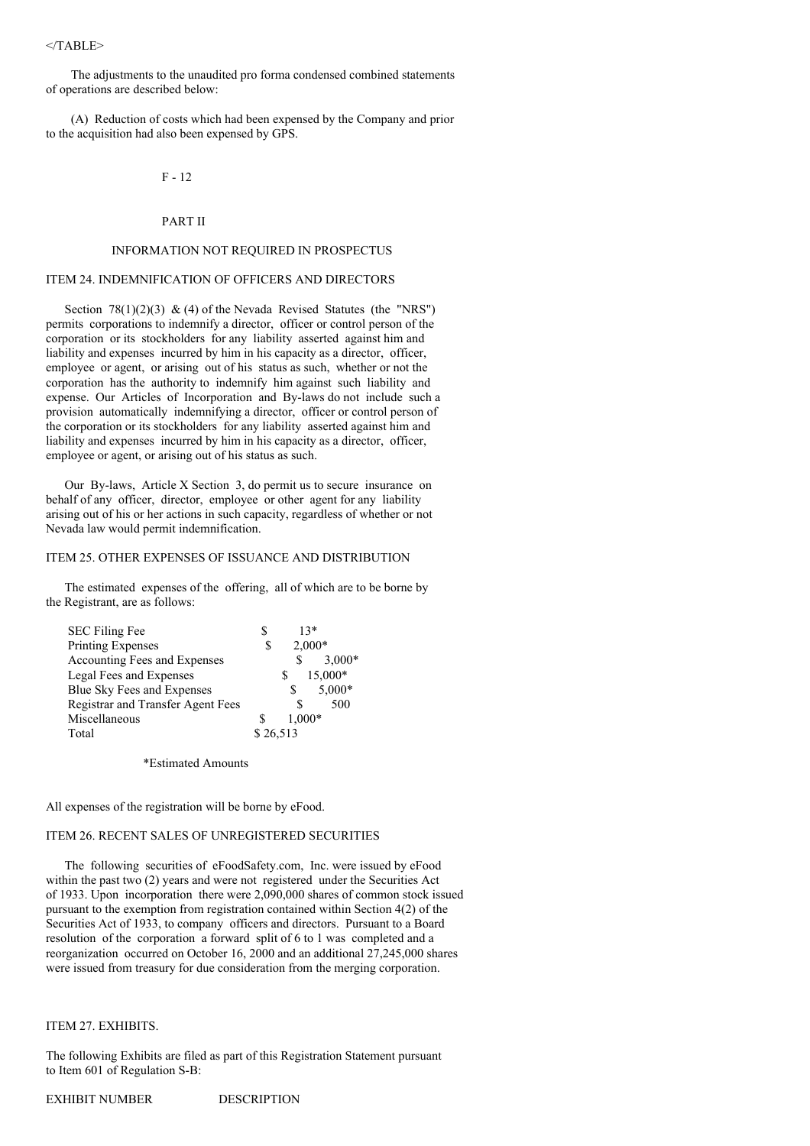## $<$ /TABLE>

The adjustments to the unaudited pro forma condensed combined statements of operations are described below:

(A) Reduction of costs which had been expensed by the Company and prior to the acquisition had also been expensed by GPS.

# $F - 12$

### PART II

# INFORMATION NOT REQUIRED IN PROSPECTUS

# ITEM 24. INDEMNIFICATION OF OFFICERS AND DIRECTORS

Section 78(1)(2)(3) & (4) of the Nevada Revised Statutes (the "NRS") permits corporations to indemnify a director, officer or control person of the corporation or its stockholders for any liability asserted against him and liability and expenses incurred by him in his capacity as a director, officer, employee or agent, or arising out of his status as such, whether or not the corporation has the authority to indemnify him against such liability and expense. Our Articles of Incorporation and By-laws do not include such a provision automatically indemnifying a director, officer or control person of the corporation or its stockholders for any liability asserted against him and liability and expenses incurred by him in his capacity as a director, officer, employee or agent, or arising out of his status as such.

Our By-laws, Article X Section 3, do permit us to secure insurance on behalf of any officer, director, employee or other agent for any liability arising out of his or her actions in such capacity, regardless of whether or not Nevada law would permit indemnification.

# ITEM 25. OTHER EXPENSES OF ISSUANCE AND DISTRIBUTION

The estimated expenses of the offering, all of which are to be borne by the Registrant, are as follows:

| <b>SEC Filing Fee</b>             | S        |   | $13*$    |
|-----------------------------------|----------|---|----------|
| <b>Printing Expenses</b>          | \$       |   | $2,000*$ |
| Accounting Fees and Expenses      |          |   | $3,000*$ |
| Legal Fees and Expenses           |          |   | 15,000*  |
| Blue Sky Fees and Expenses        |          | S | 5,000*   |
| Registrar and Transfer Agent Fees |          |   | 500      |
| Miscellaneous                     |          |   | 1,000*   |
| Total                             | \$26.513 |   |          |

\*Estimated Amounts

All expenses of the registration will be borne by eFood.

## ITEM 26. RECENT SALES OF UNREGISTERED SECURITIES

The following securities of eFoodSafety.com, Inc. were issued by eFood within the past two (2) years and were not registered under the Securities Act of 1933. Upon incorporation there were 2,090,000 shares of common stock issued pursuant to the exemption from registration contained within Section 4(2) of the Securities Act of 1933, to company officers and directors. Pursuant to a Board resolution of the corporation a forward split of 6 to 1 was completed and a reorganization occurred on October 16, 2000 and an additional 27,245,000 shares were issued from treasury for due consideration from the merging corporation.

## ITEM 27. EXHIBITS.

The following Exhibits are filed as part of this Registration Statement pursuant to Item 601 of Regulation S-B: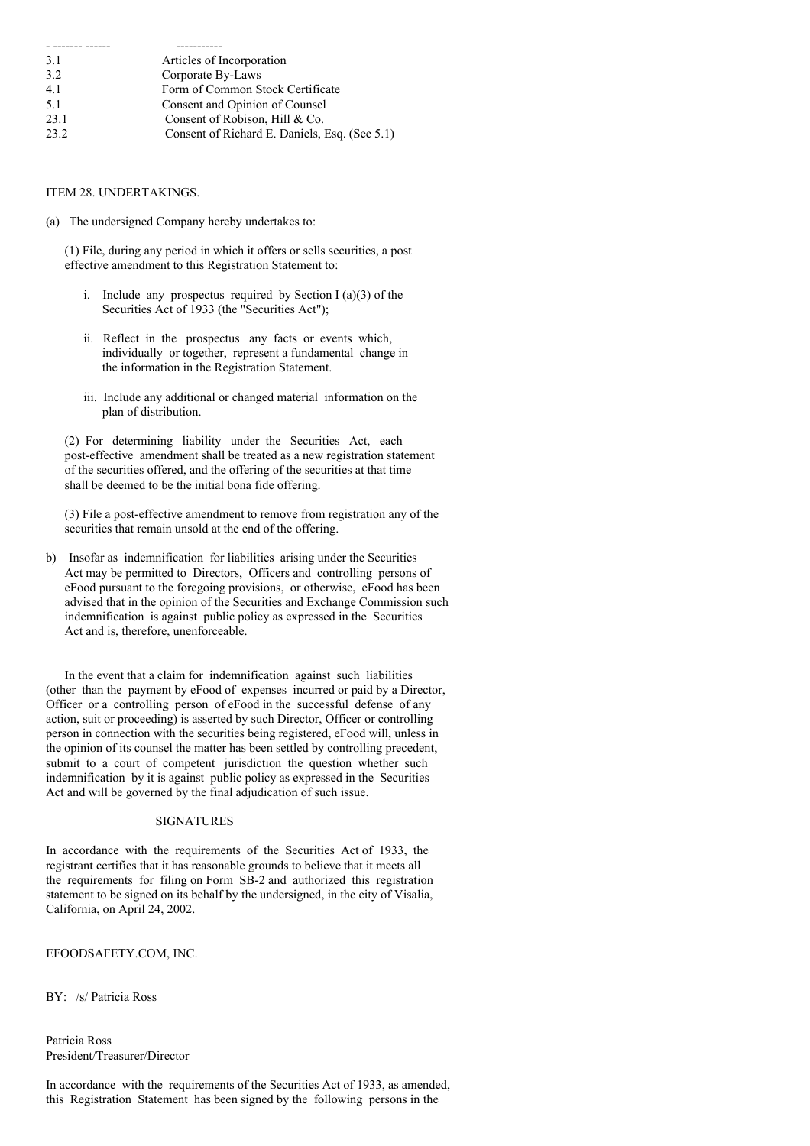| 3.1  | Articles of Incorporation                     |
|------|-----------------------------------------------|
| 3.2  | Corporate By-Laws                             |
| 4.1  | Form of Common Stock Certificate              |
| 5.1  | Consent and Opinion of Counsel                |
| 23.1 | Consent of Robison, Hill & Co.                |
| 23.2 | Consent of Richard E. Daniels, Esq. (See 5.1) |

ITEM 28. UNDERTAKINGS.

(a) The undersigned Company hereby undertakes to:

(1) File, during any period in which it offers or sells securities, a post effective amendment to this Registration Statement to:

- i. Include any prospectus required by Section  $I(a)(3)$  of the Securities Act of 1933 (the "Securities Act");
- ii. Reflect in the prospectus any facts or events which, individually or together, represent a fundamental change in the information in the Registration Statement.
- iii. Include any additional or changed material information on the plan of distribution.

(2) For determining liability under the Securities Act, each post-effective amendment shall be treated as a new registration statement of the securities offered, and the offering of the securities at that time shall be deemed to be the initial bona fide offering.

(3) File a post-effective amendment to remove from registration any of the securities that remain unsold at the end of the offering.

b) Insofar as indemnification for liabilities arising under the Securities Act may be permitted to Directors, Officers and controlling persons of eFood pursuant to the foregoing provisions, or otherwise, eFood has been advised that in the opinion of the Securities and Exchange Commission such indemnification is against public policy as expressed in the Securities Act and is, therefore, unenforceable.

In the event that a claim for indemnification against such liabilities (other than the payment by eFood of expenses incurred or paid by a Director, Officer or a controlling person of eFood in the successful defense of any action, suit or proceeding) is asserted by such Director, Officer or controlling person in connection with the securities being registered, eFood will, unless in the opinion of its counsel the matter has been settled by controlling precedent, submit to a court of competent jurisdiction the question whether such indemnification by it is against public policy as expressed in the Securities Act and will be governed by the final adjudication of such issue.

#### SIGNATURES

In accordance with the requirements of the Securities Act of 1933, the registrant certifies that it has reasonable grounds to believe that it meets all the requirements for filing on Form SB-2 and authorized this registration statement to be signed on its behalf by the undersigned, in the city of Visalia, California, on April 24, 2002.

# EFOODSAFETY.COM, INC.

BY: /s/ Patricia Ross

Patricia Ross President/Treasurer/Director

In accordance with the requirements of the Securities Act of 1933, as amended, this Registration Statement has been signed by the following persons in the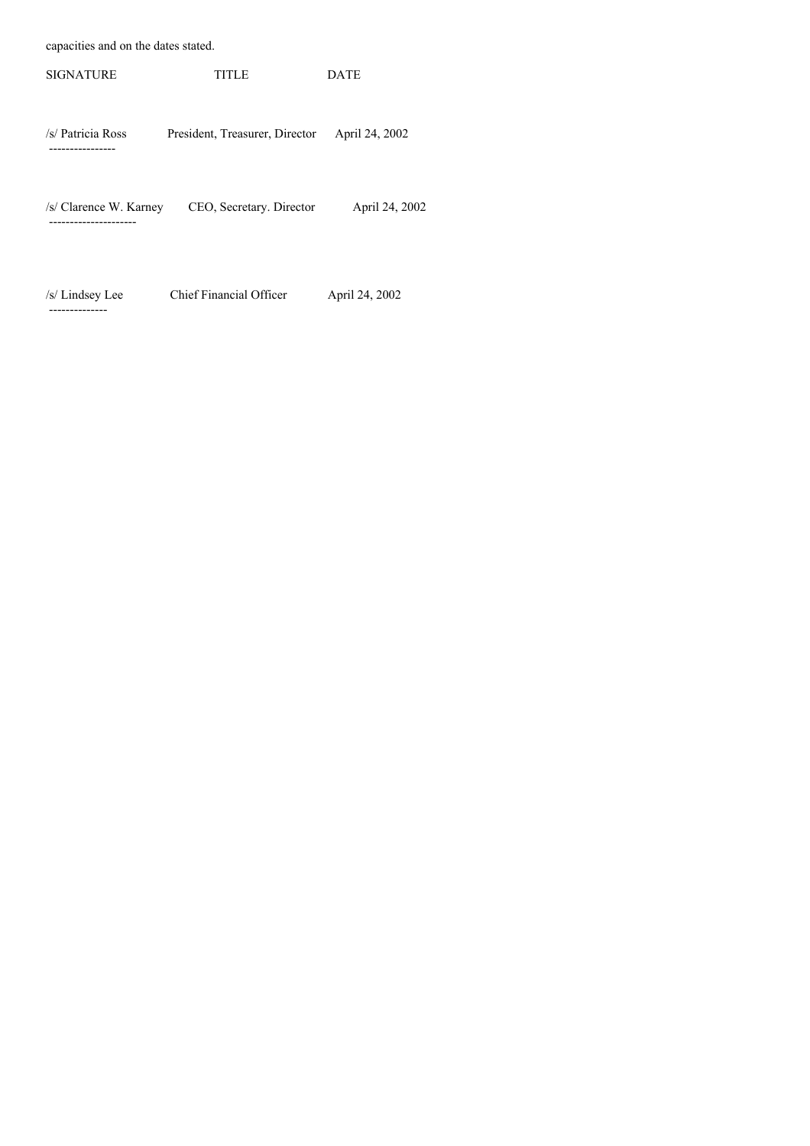capacities and on the dates stated.

--------------

| <b>SIGNATURE</b>                             | TITLE                          | <b>DATE</b>    |  |
|----------------------------------------------|--------------------------------|----------------|--|
| /s/ Patricia Ross<br>-----------             | President, Treasurer, Director | April 24, 2002 |  |
| /s/ Clarence W. Karney<br>------------------ | CEO, Secretary. Director       | April 24, 2002 |  |
|                                              |                                |                |  |

/s/ Lindsey Lee Chief Financial Officer April 24, 2002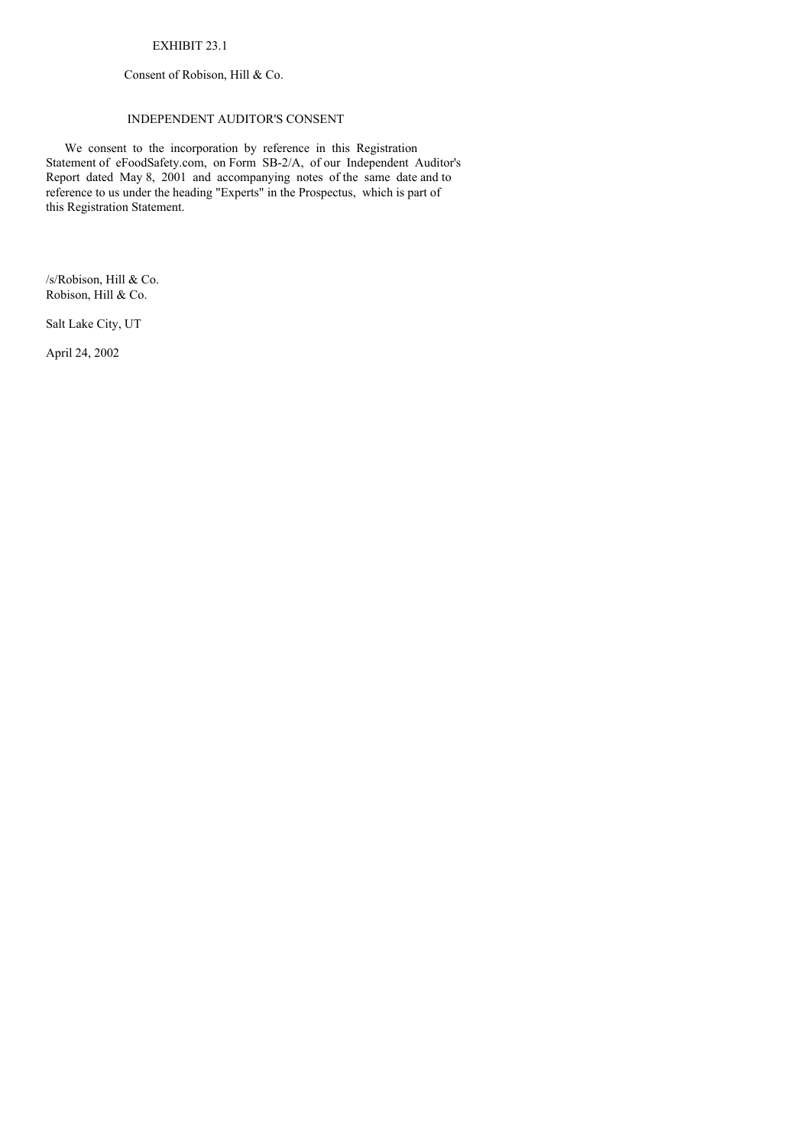# EXHIBIT 23.1

Consent of Robison, Hill & Co.

# INDEPENDENT AUDITOR'S CONSENT

We consent to the incorporation by reference in this Registration Statement of eFoodSafety.com, on Form SB-2/A, of our Independent Auditor's Report dated May 8, 2001 and accompanying notes of the same date and to reference to us under the heading "Experts" in the Prospectus, which is part of this Registration Statement.

/s/Robison, Hill & Co. Robison, Hill & Co.

Salt Lake City, UT

April 24, 2002